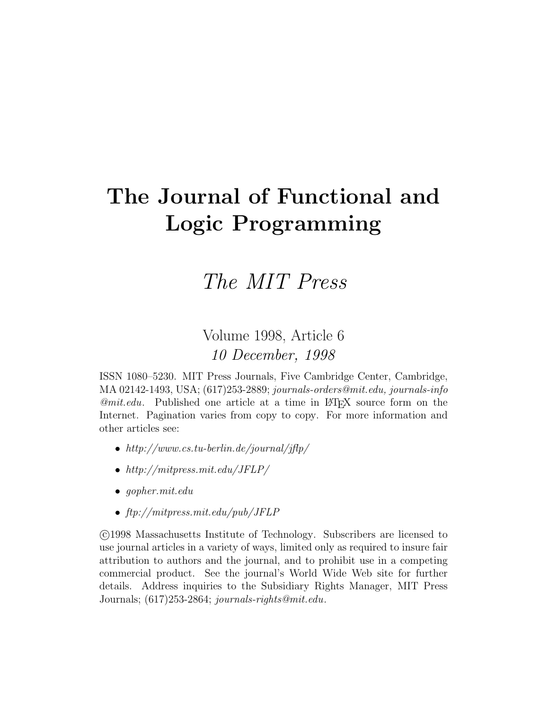# **The Journal of Functional and Logic Programming**

# The MIT Press

# Volume 1998, Article 6 10 December, 1998

ISSN 1080–5230. MIT Press Journals, Five Cambridge Center, Cambridge, MA 02142-1493, USA; (617)253-2889; journals-orders@mit.edu, journals-info  $\mathcal{Q}mit.edu$ . Published one article at a time in LAT<sub>EX</sub> source form on the Internet. Pagination varies from copy to copy. For more information and other articles see:

- http://www.cs.tu-berlin.de/journal/jflp/
- http://mitpress.mit.edu/JFLP/
- gopher.mit.edu
- ftp://mitpress.mit.edu/pub/JFLP

 c 1998 Massachusetts Institute of Technology. Subscribers are licensed to use journal articles in a variety of ways, limited only as required to insure fair attribution to authors and the journal, and to prohibit use in a competing commercial product. See the journal's World Wide Web site for further details. Address inquiries to the Subsidiary Rights Manager, MIT Press Journals; (617)253-2864; journals-rights@mit.edu.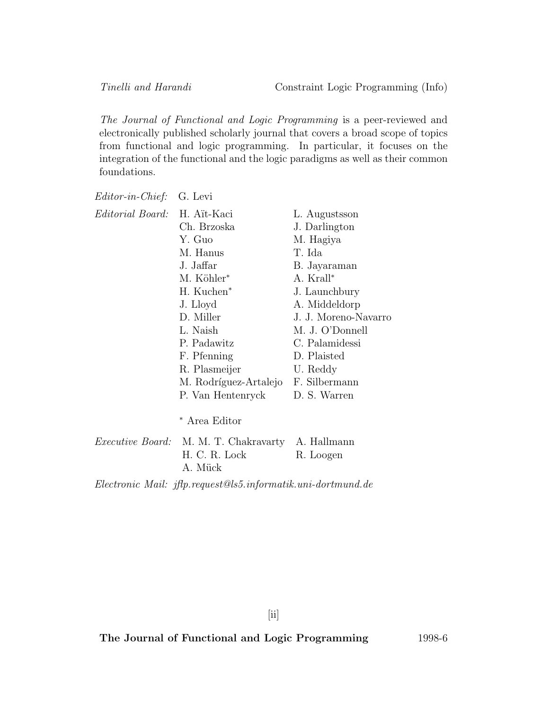The Journal of Functional and Logic Programming is a peer-reviewed and electronically published scholarly journal that covers a broad scope of topics from functional and logic programming. In particular, it focuses on the integration of the functional and the logic paradigms as well as their common foundations.

| <i>Editor-in-Chief:</i> G. Levi |  |  |
|---------------------------------|--|--|
|---------------------------------|--|--|

| <i>Editorial Board:</i> | H. Aït-Kaci                                    | L. Augustsson        |
|-------------------------|------------------------------------------------|----------------------|
|                         | Ch. Brzoska                                    | J. Darlington        |
|                         | Y. Guo                                         | M. Hagiya            |
|                         | M. Hanus                                       | T. Ida               |
|                         | J. Jaffar                                      | B. Jayaraman         |
|                         | M. Köhler*                                     | A. Krall*            |
|                         | H. Kuchen <sup>*</sup>                         | J. Launchbury        |
|                         | J. Lloyd                                       | A. Middeldorp        |
|                         | D. Miller                                      | J. J. Moreno-Navarro |
|                         | L. Naish                                       | M. J. O'Donnell      |
|                         | P. Padawitz                                    | C. Palamidessi       |
|                         | F. Pfenning                                    | D. Plaisted          |
|                         | R. Plasmeijer                                  | U. Reddy             |
|                         | M. Rodríguez-Artalejo F. Silbermann            |                      |
|                         | P. Van Hentenryck                              | D. S. Warren         |
|                         | * Area Editor                                  |                      |
|                         | Executive Board: M M T Chalxawarty, A Hallmann |                      |

| <i>Executive Board:</i> M. M. I. Chakravarty A. Hallmann |           |
|----------------------------------------------------------|-----------|
| H. C. R. Lock                                            | R. Loogen |
| A. Mück                                                  |           |
|                                                          |           |

Electronic Mail: jflp.request@ls5.informatik.uni-dortmund.de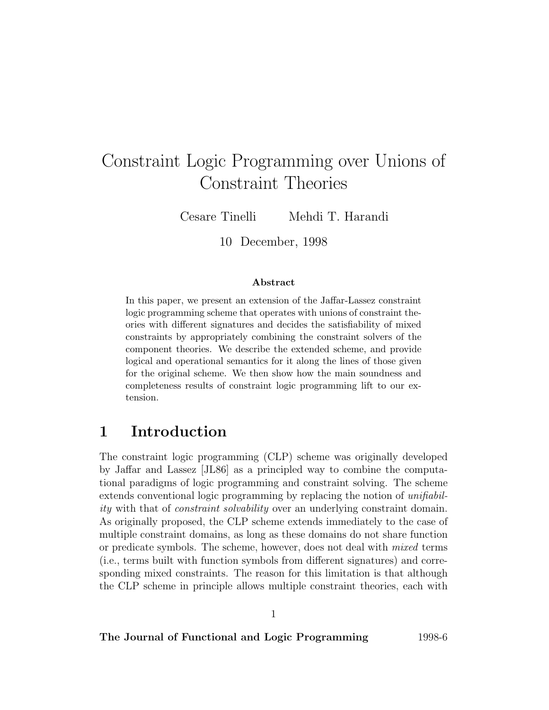# Constraint Logic Programming over Unions of Constraint Theories

Cesare Tinelli Mehdi T. Harandi

10 December, 1998

#### **Abstract**

In this paper, we present an extension of the Jaffar-Lassez constraint logic programming scheme that operates with unions of constraint theories with different signatures and decides the satisfiability of mixed constraints by appropriately combining the constraint solvers of the component theories. We describe the extended scheme, and provide logical and operational semantics for it along the lines of those given for the original scheme. We then show how the main soundness and completeness results of constraint logic programming lift to our extension.

# **1 Introduction**

The constraint logic programming (CLP) scheme was originally developed by Jaffar and Lassez [JL86] as a principled way to combine the computational paradigms of logic programming and constraint solving. The scheme extends conventional logic programming by replacing the notion of *unifiabil*ity with that of constraint solvability over an underlying constraint domain. As originally proposed, the CLP scheme extends immediately to the case of multiple constraint domains, as long as these domains do not share function or predicate symbols. The scheme, however, does not deal with mixed terms (i.e., terms built with function symbols from different signatures) and corresponding mixed constraints. The reason for this limitation is that although the CLP scheme in principle allows multiple constraint theories, each with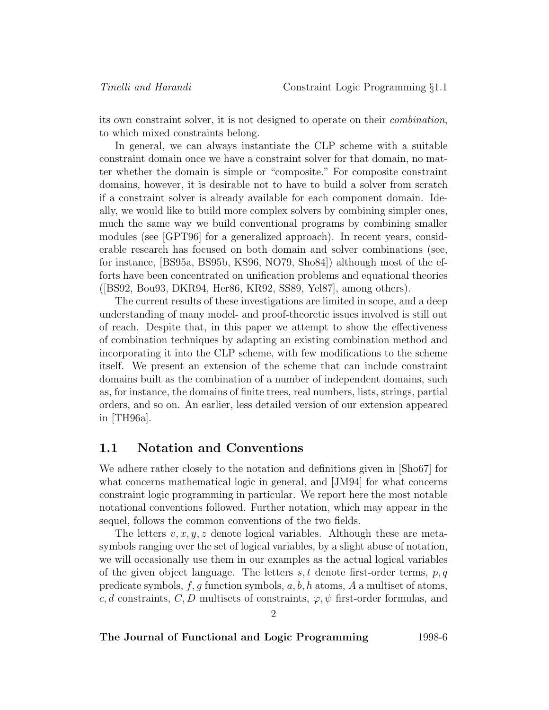its own constraint solver, it is not designed to operate on their combination, to which mixed constraints belong.

In general, we can always instantiate the CLP scheme with a suitable constraint domain once we have a constraint solver for that domain, no matter whether the domain is simple or "composite." For composite constraint domains, however, it is desirable not to have to build a solver from scratch if a constraint solver is already available for each component domain. Ideally, we would like to build more complex solvers by combining simpler ones, much the same way we build conventional programs by combining smaller modules (see [GPT96] for a generalized approach). In recent years, considerable research has focused on both domain and solver combinations (see, for instance, [BS95a, BS95b, KS96, NO79, Sho84]) although most of the efforts have been concentrated on unification problems and equational theories ([BS92, Bou93, DKR94, Her86, KR92, SS89, Yel87], among others).

The current results of these investigations are limited in scope, and a deep understanding of many model- and proof-theoretic issues involved is still out of reach. Despite that, in this paper we attempt to show the effectiveness of combination techniques by adapting an existing combination method and incorporating it into the CLP scheme, with few modifications to the scheme itself. We present an extension of the scheme that can include constraint domains built as the combination of a number of independent domains, such as, for instance, the domains of finite trees, real numbers, lists, strings, partial orders, and so on. An earlier, less detailed version of our extension appeared in [TH96a].

### **1.1 Notation and Conventions**

We adhere rather closely to the notation and definitions given in [Sho67] for what concerns mathematical logic in general, and [JM94] for what concerns constraint logic programming in particular. We report here the most notable notational conventions followed. Further notation, which may appear in the sequel, follows the common conventions of the two fields.

The letters  $v, x, y, z$  denote logical variables. Although these are metasymbols ranging over the set of logical variables, by a slight abuse of notation, we will occasionally use them in our examples as the actual logical variables of the given object language. The letters  $s, t$  denote first-order terms,  $p, q$ predicate symbols,  $f, g$  function symbols,  $a, b, h$  atoms, A a multiset of atoms, c, d constraints, C, D multisets of constraints,  $\varphi, \psi$  first-order formulas, and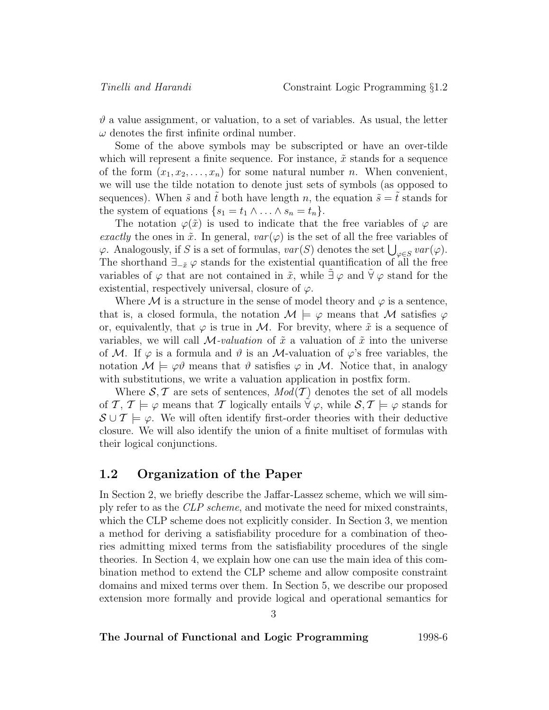$\vartheta$  a value assignment, or valuation, to a set of variables. As usual, the letter  $\omega$  denotes the first infinite ordinal number.

Some of the above symbols may be subscripted or have an over-tilde which will represent a finite sequence. For instance,  $\tilde{x}$  stands for a sequence of the form  $(x_1, x_2, \ldots, x_n)$  for some natural number n. When convenient, we will use the tilde notation to denote just sets of symbols (as opposed to sequences). When  $\tilde{s}$  and  $\tilde{t}$  both have length n, the equation  $\tilde{s} = \tilde{t}$  stands for the system of equations  $\{s_1 = t_1 \wedge \ldots \wedge s_n = t_n\}.$ 

The notation  $\varphi(\tilde{x})$  is used to indicate that the free variables of  $\varphi$  are exactly the ones in  $\tilde{x}$ . In general,  $var(\varphi)$  is the set of all the free variables of  $\varphi$ . Analogously, if S is a set of formulas,  $var(S)$  denotes the set  $\bigcup_{\varphi \in S} var(\varphi)$ . The shorthand  $\exists_{-\tilde{x}} \varphi$  stands for the existential quantification of all the free variables of  $\varphi$  that are not contained in  $\tilde{x}$ , while  $\exists \varphi$  and  $\forall \varphi$  stand for the existential, respectively universal, closure of  $\varphi$ .

Where M is a structure in the sense of model theory and  $\varphi$  is a sentence, that is, a closed formula, the notation  $\mathcal{M} \models \varphi$  means that  $\mathcal M$  satisfies  $\varphi$ or, equivalently, that  $\varphi$  is true in M. For brevity, where  $\tilde{x}$  is a sequence of variables, we will call  $\mathcal{M}\text{-}valuation$  of  $\tilde{x}$  a valuation of  $\tilde{x}$  into the universe of M. If  $\varphi$  is a formula and  $\vartheta$  is an M-valuation of  $\varphi$ 's free variables, the notation  $\mathcal{M} \models \varphi \vartheta$  means that  $\vartheta$  satisfies  $\varphi$  in  $\mathcal{M}$ . Notice that, in analogy with substitutions, we write a valuation application in postfix form.

Where  $S, \mathcal{T}$  are sets of sentences,  $Mod(\mathcal{T})$  denotes the set of all models of T,  $T \models \varphi$  means that T logically entails  $\forall \varphi$ , while  $\mathcal{S}, \mathcal{T} \models \varphi$  stands for  $\mathcal{S}\cup\mathcal{T}\models\varphi$ . We will often identify first-order theories with their deductive closure. We will also identify the union of a finite multiset of formulas with their logical conjunctions.

### **1.2 Organization of the Paper**

In Section 2, we briefly describe the Jaffar-Lassez scheme, which we will simply refer to as the CLP scheme, and motivate the need for mixed constraints, which the CLP scheme does not explicitly consider. In Section 3, we mention a method for deriving a satisfiability procedure for a combination of theories admitting mixed terms from the satisfiability procedures of the single theories. In Section 4, we explain how one can use the main idea of this combination method to extend the CLP scheme and allow composite constraint domains and mixed terms over them. In Section 5, we describe our proposed extension more formally and provide logical and operational semantics for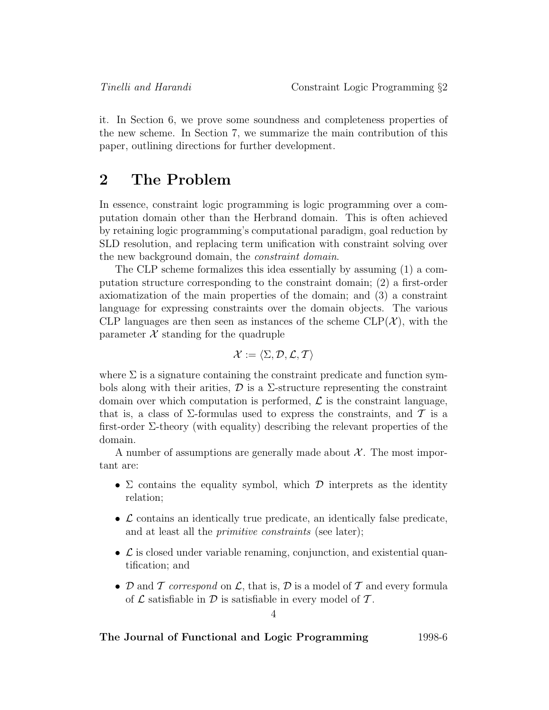it. In Section 6, we prove some soundness and completeness properties of the new scheme. In Section 7, we summarize the main contribution of this paper, outlining directions for further development.

# **2 The Problem**

In essence, constraint logic programming is logic programming over a computation domain other than the Herbrand domain. This is often achieved by retaining logic programming's computational paradigm, goal reduction by SLD resolution, and replacing term unification with constraint solving over the new background domain, the constraint domain.

The CLP scheme formalizes this idea essentially by assuming (1) a computation structure corresponding to the constraint domain; (2) a first-order axiomatization of the main properties of the domain; and (3) a constraint language for expressing constraints over the domain objects. The various CLP languages are then seen as instances of the scheme  $CLP(\mathcal{X})$ , with the parameter  $\mathcal X$  standing for the quadruple

$$
\mathcal{X}:=\langle \Sigma,\mathcal{D},\mathcal{L},\mathcal{T}\rangle
$$

where  $\Sigma$  is a signature containing the constraint predicate and function symbols along with their arities,  $\mathcal D$  is a  $\Sigma$ -structure representing the constraint domain over which computation is performed,  $\mathcal L$  is the constraint language, that is, a class of  $\Sigma$ -formulas used to express the constraints, and T is a first-order  $\Sigma$ -theory (with equality) describing the relevant properties of the domain.

A number of assumptions are generally made about  $\mathcal{X}$ . The most important are:

- $\Sigma$  contains the equality symbol, which  $\mathcal D$  interprets as the identity relation;
- $\mathcal L$  contains an identically true predicate, an identically false predicate, and at least all the *primitive constraints* (see later);
- $\mathcal L$  is closed under variable renaming, conjunction, and existential quantification; and
- D and T correspond on L, that is, D is a model of T and every formula of  $\mathcal L$  satisfiable in  $\mathcal D$  is satisfiable in every model of  $\mathcal T$ .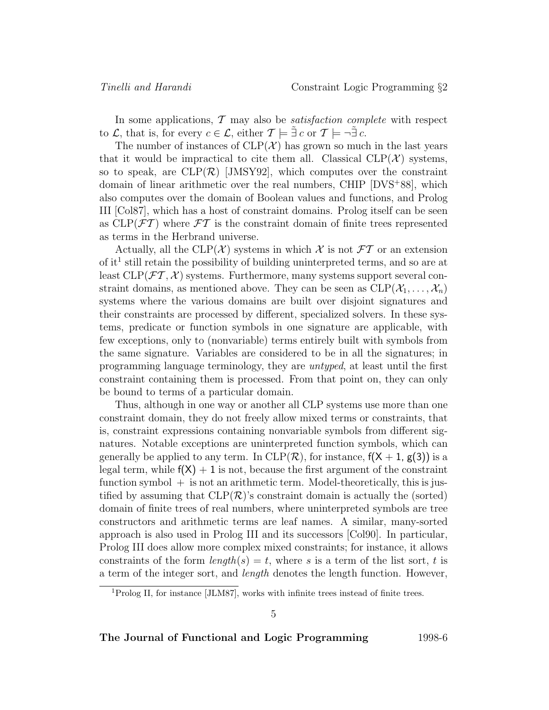In some applications,  $\mathcal T$  may also be *satisfaction complete* with respect to  $\mathcal{L}$ , that is, for every  $c \in \mathcal{L}$ , either  $\mathcal{T} \models \exists c$  or  $\mathcal{T} \models \neg \exists c$ .

The number of instances of  $CLP(\mathcal{X})$  has grown so much in the last years that it would be impractical to cite them all. Classical  $CLP(\mathcal{X})$  systems, so to speak, are  $CLP(\mathcal{R})$  [JMSY92], which computes over the constraint domain of linear arithmetic over the real numbers, CHIP [DVS<sup>+</sup>88], which also computes over the domain of Boolean values and functions, and Prolog III [Col87], which has a host of constraint domains. Prolog itself can be seen as  $CLP(\mathcal{FT})$  where  $\mathcal{FT}$  is the constraint domain of finite trees represented as terms in the Herbrand universe.

Actually, all the CLP( $\mathcal X$ ) systems in which  $\mathcal X$  is not  $\mathcal F\mathcal T$  or an extension of it<sup>1</sup> still retain the possibility of building uninterpreted terms, and so are at least  $CLP(\mathcal{FT}, \mathcal{X})$  systems. Furthermore, many systems support several constraint domains, as mentioned above. They can be seen as  $CLP(\mathcal{X}_1,\ldots,\mathcal{X}_n)$ systems where the various domains are built over disjoint signatures and their constraints are processed by different, specialized solvers. In these systems, predicate or function symbols in one signature are applicable, with few exceptions, only to (nonvariable) terms entirely built with symbols from the same signature. Variables are considered to be in all the signatures; in programming language terminology, they are untyped, at least until the first constraint containing them is processed. From that point on, they can only be bound to terms of a particular domain.

Thus, although in one way or another all CLP systems use more than one constraint domain, they do not freely allow mixed terms or constraints, that is, constraint expressions containing nonvariable symbols from different signatures. Notable exceptions are uninterpreted function symbols, which can generally be applied to any term. In  $CLP(\mathcal{R})$ , for instance,  $f(X + 1, g(3))$  is a legal term, while  $f(X) + 1$  is not, because the first argument of the constraint function symbol  $+$  is not an arithmetic term. Model-theoretically, this is justified by assuming that  $CLP(\mathcal{R})$ 's constraint domain is actually the (sorted) domain of finite trees of real numbers, where uninterpreted symbols are tree constructors and arithmetic terms are leaf names. A similar, many-sorted approach is also used in Prolog III and its successors [Col90]. In particular, Prolog III does allow more complex mixed constraints; for instance, it allows constraints of the form  $length(s) = t$ , where s is a term of the list sort, t is a term of the integer sort, and length denotes the length function. However,

<sup>&</sup>lt;sup>1</sup>Prolog II, for instance [JLM87], works with infinite trees instead of finite trees.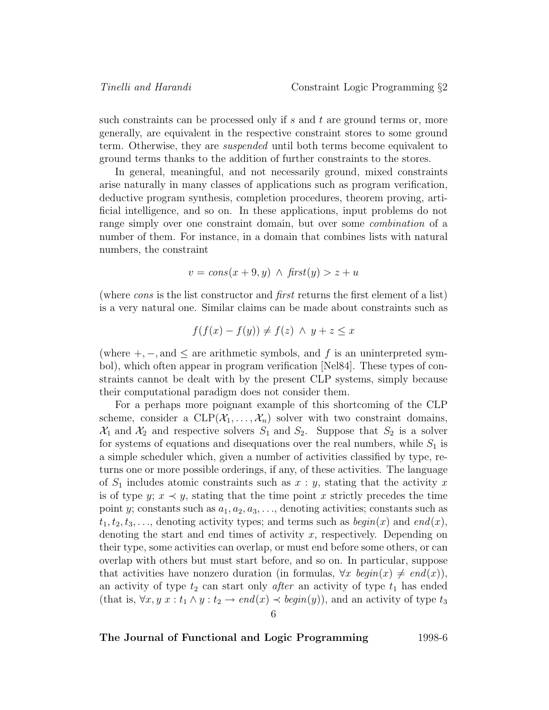such constraints can be processed only if s and t are ground terms or, more generally, are equivalent in the respective constraint stores to some ground term. Otherwise, they are suspended until both terms become equivalent to ground terms thanks to the addition of further constraints to the stores.

In general, meaningful, and not necessarily ground, mixed constraints arise naturally in many classes of applications such as program verification, deductive program synthesis, completion procedures, theorem proving, artificial intelligence, and so on. In these applications, input problems do not range simply over one constraint domain, but over some combination of a number of them. For instance, in a domain that combines lists with natural numbers, the constraint

$$
v = cons(x + 9, y) \land first(y) > z + u
$$

(where cons is the list constructor and first returns the first element of a list) is a very natural one. Similar claims can be made about constraints such as

$$
f(f(x) - f(y)) \neq f(z) \land y + z \leq x
$$

(where  $+,-$ , and  $\leq$  are arithmetic symbols, and f is an uninterpreted symbol), which often appear in program verification [Nel84]. These types of constraints cannot be dealt with by the present CLP systems, simply because their computational paradigm does not consider them.

For a perhaps more poignant example of this shortcoming of the CLP scheme, consider a  $CLP(\mathcal{X}_1,\ldots,\mathcal{X}_n)$  solver with two constraint domains,  $\mathcal{X}_1$  and  $\mathcal{X}_2$  and respective solvers  $S_1$  and  $S_2$ . Suppose that  $S_2$  is a solver for systems of equations and disequations over the real numbers, while  $S_1$  is a simple scheduler which, given a number of activities classified by type, returns one or more possible orderings, if any, of these activities. The language of  $S_1$  includes atomic constraints such as  $x : y$ , stating that the activity x is of type y;  $x \prec y$ , stating that the time point x strictly precedes the time point y; constants such as  $a_1, a_2, a_3, \ldots$ , denoting activities; constants such as  $t_1, t_2, t_3,...$ , denoting activity types; and terms such as  $begin(x)$  and  $end(x)$ , denoting the start and end times of activity x, respectively. Depending on their type, some activities can overlap, or must end before some others, or can overlap with others but must start before, and so on. In particular, suppose that activities have nonzero duration (in formulas,  $\forall x \; begin(x) \neq end(x)$ ), an activity of type  $t_2$  can start only *after* an activity of type  $t_1$  has ended (that is,  $\forall x, y \; x : t_1 \land y : t_2 \rightarrow end(x) \prec begin(y)$ ), and an activity of type  $t_3$ 6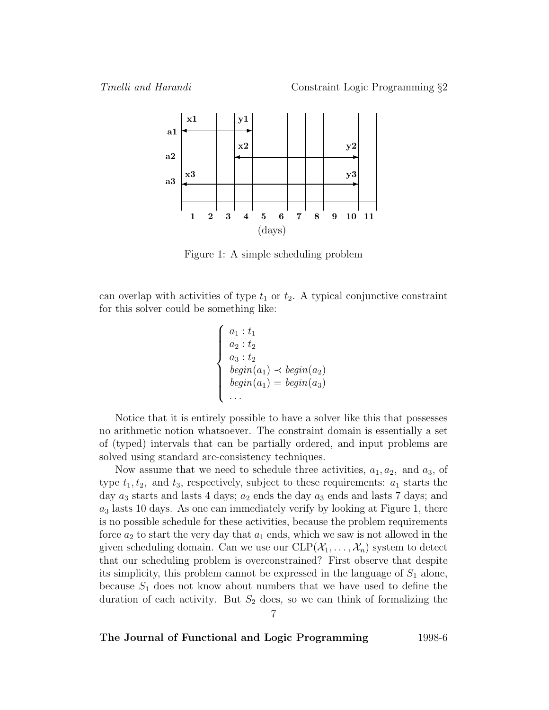

Figure 1: A simple scheduling problem

can overlap with activities of type  $t_1$  or  $t_2$ . A typical conjunctive constraint for this solver could be something like:

$$
\begin{cases}\n a_1 : t_1 \\
 a_2 : t_2 \\
 a_3 : t_2 \\
 begin(a_1) \prec begin(a_2) \\
 begin(a_1) = begin(a_3) \\
 \dots\n\end{cases}
$$

Notice that it is entirely possible to have a solver like this that possesses no arithmetic notion whatsoever. The constraint domain is essentially a set of (typed) intervals that can be partially ordered, and input problems are solved using standard arc-consistency techniques.

Now assume that we need to schedule three activities,  $a_1, a_2$ , and  $a_3$ , of type  $t_1, t_2$ , and  $t_3$ , respectively, subject to these requirements:  $a_1$  starts the day  $a_3$  starts and lasts 4 days;  $a_2$  ends the day  $a_3$  ends and lasts 7 days; and  $a_3$  lasts 10 days. As one can immediately verify by looking at Figure 1, there is no possible schedule for these activities, because the problem requirements force  $a_2$  to start the very day that  $a_1$  ends, which we saw is not allowed in the given scheduling domain. Can we use our  $CLP(\mathcal{X}_1,\ldots,\mathcal{X}_n)$  system to detect that our scheduling problem is overconstrained? First observe that despite its simplicity, this problem cannot be expressed in the language of  $S_1$  alone, because  $S_1$  does not know about numbers that we have used to define the duration of each activity. But  $S_2$  does, so we can think of formalizing the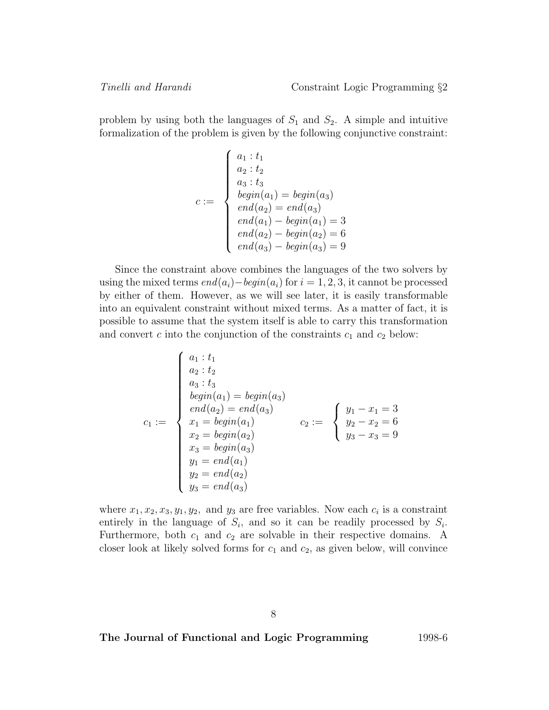problem by using both the languages of  $S_1$  and  $S_2$ . A simple and intuitive formalization of the problem is given by the following conjunctive constraint:

$$
c := \begin{cases} a_1 : t_1 \\ a_2 : t_2 \\ a_3 : t_3 \\ begin(a_1) = begin(a_3) \\ end(a_2) = end(a_3) \\ end(a_1) - begin(a_1) = 3 \\ end(a_2) - begin(a_2) = 6 \\ end(a_3) - begin(a_3) = 9 \end{cases}
$$

Since the constraint above combines the languages of the two solvers by using the mixed terms  $end(a_i)-begin(a_i)$  for  $i = 1, 2, 3$ , it cannot be processed by either of them. However, as we will see later, it is easily transformable into an equivalent constraint without mixed terms. As a matter of fact, it is possible to assume that the system itself is able to carry this transformation and convert c into the conjunction of the constraints  $c_1$  and  $c_2$  below:

$$
c_1 := \begin{cases} a_1 : t_1 \\ a_2 : t_2 \\ a_3 : t_3 \\ begin(a_1) = begin(a_3) \\ end(a_2) = end(a_3) \\ x_1 = begin(a_1) \\ x_2 = begin(a_2) \\ x_3 = begin(a_3) \\ y_1 = end(a_1) \\ y_2 = end(a_2) \\ y_3 = end(a_3) \end{cases} \qquad c_2 := \begin{cases} y_1 - x_1 = 3 \\ y_2 - x_2 = 6 \\ y_3 - x_3 = 9 \end{cases}
$$

where  $x_1, x_2, x_3, y_1, y_2$ , and  $y_3$  are free variables. Now each  $c_i$  is a constraint entirely in the language of  $S_i$ , and so it can be readily processed by  $S_i$ . Furthermore, both  $c_1$  and  $c_2$  are solvable in their respective domains. A closer look at likely solved forms for  $c_1$  and  $c_2$ , as given below, will convince

8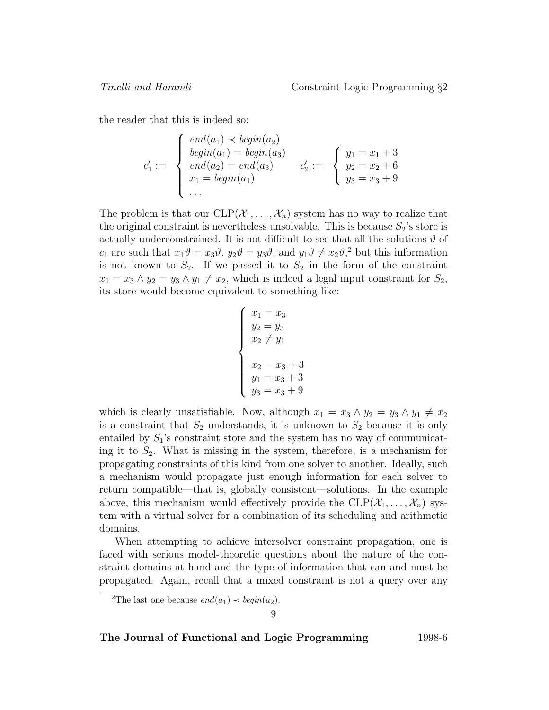the reader that this is indeed so:

$$
c'_1 := \begin{cases} end(a_1) \prec begin(a_2) \\ begin(a_1) = begin(a_3) \\ end(a_2) = end(a_3) \\ x_1 = begin(a_1) \end{cases} \quad c'_2 := \begin{cases} y_1 = x_1 + 3 \\ y_2 = x_2 + 6 \\ y_3 = x_3 + 9 \end{cases}
$$

The problem is that our  $CLP(\mathcal{X}_1,\ldots,\mathcal{X}_n)$  system has no way to realize that the original constraint is nevertheless unsolvable. This is because  $S_2$ 's store is actually underconstrained. It is not difficult to see that all the solutions  $\vartheta$  of  $c_1$  are such that  $x_1\vartheta = x_3\vartheta$ ,  $y_2\vartheta = y_3\vartheta$ , and  $y_1\vartheta \neq x_2\vartheta$ ,<sup>2</sup> but this information is not known to  $S_2$ . If we passed it to  $S_2$  in the form of the constraint  $x_1 = x_3 \wedge y_2 = y_3 \wedge y_1 \neq x_2$ , which is indeed a legal input constraint for  $S_2$ , its store would become equivalent to something like:

$$
\begin{cases}\nx_1 = x_3 \\
y_2 = y_3 \\
x_2 \neq y_1 \\
x_2 = x_3 + 3 \\
y_1 = x_3 + 3 \\
y_3 = x_3 + 9\n\end{cases}
$$

which is clearly unsatisfiable. Now, although  $x_1 = x_3 \wedge y_2 = y_3 \wedge y_1 \neq x_2$ is a constraint that  $S_2$  understands, it is unknown to  $S_2$  because it is only entailed by  $S_1$ 's constraint store and the system has no way of communicating it to  $S_2$ . What is missing in the system, therefore, is a mechanism for propagating constraints of this kind from one solver to another. Ideally, such a mechanism would propagate just enough information for each solver to return compatible—that is, globally consistent—solutions. In the example above, this mechanism would effectively provide the  $CLP(\mathcal{X}_1,\ldots,\mathcal{X}_n)$  system with a virtual solver for a combination of its scheduling and arithmetic domains.

When attempting to achieve intersolver constraint propagation, one is faced with serious model-theoretic questions about the nature of the constraint domains at hand and the type of information that can and must be propagated. Again, recall that a mixed constraint is not a query over any

<sup>&</sup>lt;sup>2</sup>The last one because  $end(a_1) \prec begin(a_2)$ .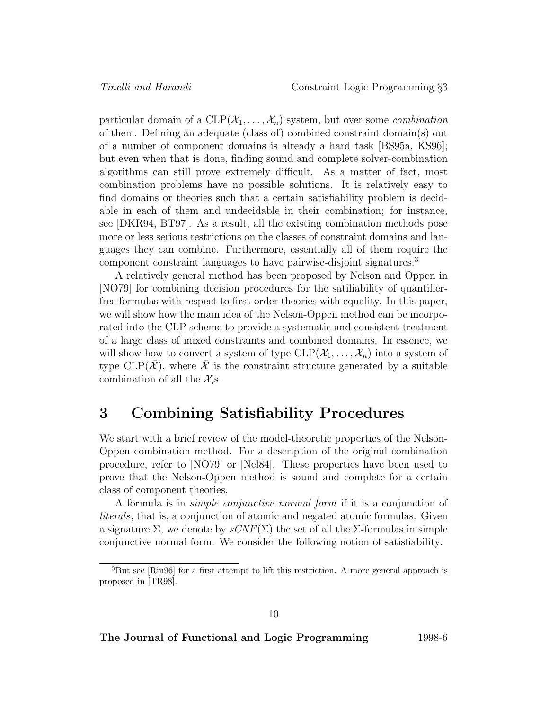particular domain of a  $CLP(\mathcal{X}_1,\ldots,\mathcal{X}_n)$  system, but over some *combination* of them. Defining an adequate (class of) combined constraint domain(s) out of a number of component domains is already a hard task [BS95a, KS96]; but even when that is done, finding sound and complete solver-combination algorithms can still prove extremely difficult. As a matter of fact, most combination problems have no possible solutions. It is relatively easy to find domains or theories such that a certain satisfiability problem is decidable in each of them and undecidable in their combination; for instance, see [DKR94, BT97]. As a result, all the existing combination methods pose more or less serious restrictions on the classes of constraint domains and languages they can combine. Furthermore, essentially all of them require the component constraint languages to have pairwise-disjoint signatures.<sup>3</sup>

A relatively general method has been proposed by Nelson and Oppen in [NO79] for combining decision procedures for the satifiability of quantifierfree formulas with respect to first-order theories with equality. In this paper, we will show how the main idea of the Nelson-Oppen method can be incorporated into the CLP scheme to provide a systematic and consistent treatment of a large class of mixed constraints and combined domains. In essence, we will show how to convert a system of type  $CLP(\mathcal{X}_1,\ldots,\mathcal{X}_n)$  into a system of type CLP( $\mathcal{X}$ ), where  $\mathcal X$  is the constraint structure generated by a suitable combination of all the  $\mathcal{X}_i$ s.

# **3 Combining Satisfiability Procedures**

We start with a brief review of the model-theoretic properties of the Nelson-Oppen combination method. For a description of the original combination procedure, refer to [NO79] or [Nel84]. These properties have been used to prove that the Nelson-Oppen method is sound and complete for a certain class of component theories.

A formula is in simple conjunctive normal form if it is a conjunction of literals, that is, a conjunction of atomic and negated atomic formulas. Given a signature  $\Sigma$ , we denote by  $sCNF(\Sigma)$  the set of all the  $\Sigma$ -formulas in simple conjunctive normal form. We consider the following notion of satisfiability.

<sup>3</sup>But see [Rin96] for a first attempt to lift this restriction. A more general approach is proposed in [TR98].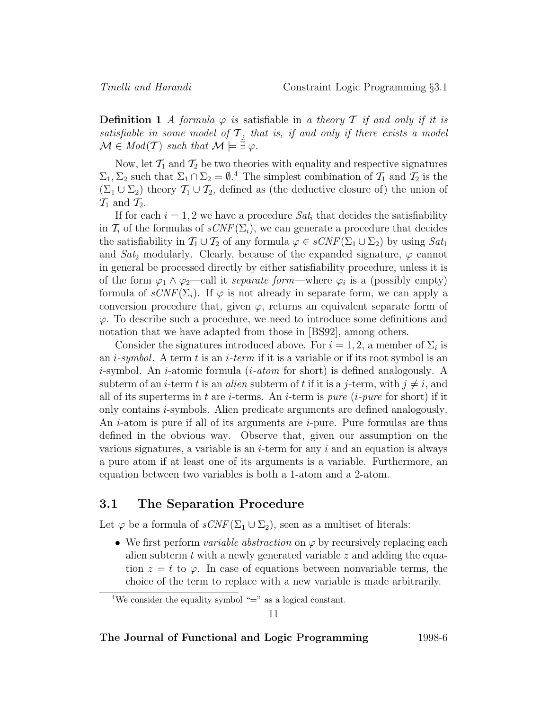**Definition 1** A formula  $\varphi$  is satisfiable in a theory T if and only if it is satisfiable in some model of  $\mathcal T$ , that is, if and only if there exists a model  $\mathcal{M} \in Mod(T)$  such that  $\mathcal{M} \models \tilde{\exists} \varphi$ .

Now, let  $\mathcal{T}_1$  and  $\mathcal{T}_2$  be two theories with equality and respective signatures  $\Sigma_1, \Sigma_2$  such that  $\Sigma_1 \cap \Sigma_2 = \emptyset$ .<sup>4</sup> The simplest combination of  $\mathcal{T}_1$  and  $\mathcal{T}_2$  is the  $(\Sigma_1 \cup \Sigma_2)$  theory  $\mathcal{T}_1 \cup \mathcal{T}_2$ , defined as (the deductive closure of) the union of  $\mathcal{T}_1$  and  $\mathcal{T}_2$ .

If for each  $i = 1, 2$  we have a procedure  $Sat_i$  that decides the satisfiability in  $\mathcal{T}_i$  of the formulas of  $sCNF(\Sigma_i)$ , we can generate a procedure that decides the satisfiability in  $\mathcal{T}_1 \cup \mathcal{T}_2$  of any formula  $\varphi \in sCNF(\Sigma_1 \cup \Sigma_2)$  by using  $Sat_1$ and  $Sat_2$  modularly. Clearly, because of the expanded signature,  $\varphi$  cannot in general be processed directly by either satisfiability procedure, unless it is of the form  $\varphi_1 \wedge \varphi_2$ —call it *separate form*—where  $\varphi_i$  is a (possibly empty) formula of  $sCNF(\Sigma_i)$ . If  $\varphi$  is not already in separate form, we can apply a conversion procedure that, given  $\varphi$ , returns an equivalent separate form of  $\varphi$ . To describe such a procedure, we need to introduce some definitions and notation that we have adapted from those in [BS92], among others.

Consider the signatures introduced above. For  $i = 1, 2$ , a member of  $\Sigma_i$  is an *i-symbol*. A term t is an *i-term* if it is a variable or if its root symbol is an *i*-symbol. An *i*-atomic formula  $(i\text{-}atom$  for short) is defined analogously. A subterm of an *i*-term t is an *alien* subterm of t if it is a j-term, with  $j \neq i$ , and all of its superterms in t are *i*-terms. An *i*-term is *pure* (*i-pure* for short) if it only contains i-symbols. Alien predicate arguments are defined analogously. An *i*-atom is pure if all of its arguments are *i*-pure. Pure formulas are thus defined in the obvious way. Observe that, given our assumption on the various signatures, a variable is an  $i$ -term for any i and an equation is always a pure atom if at least one of its arguments is a variable. Furthermore, an equation between two variables is both a 1-atom and a 2-atom.

### **3.1 The Separation Procedure**

Let  $\varphi$  be a formula of  $sCNF(\Sigma_1 \cup \Sigma_2)$ , seen as a multiset of literals:

• We first perform *variable abstraction* on  $\varphi$  by recursively replacing each alien subterm t with a newly generated variable  $z$  and adding the equation  $z = t$  to  $\varphi$ . In case of equations between nonvariable terms, the choice of the term to replace with a new variable is made arbitrarily.

<sup>&</sup>lt;sup>4</sup>We consider the equality symbol "=" as a logical constant.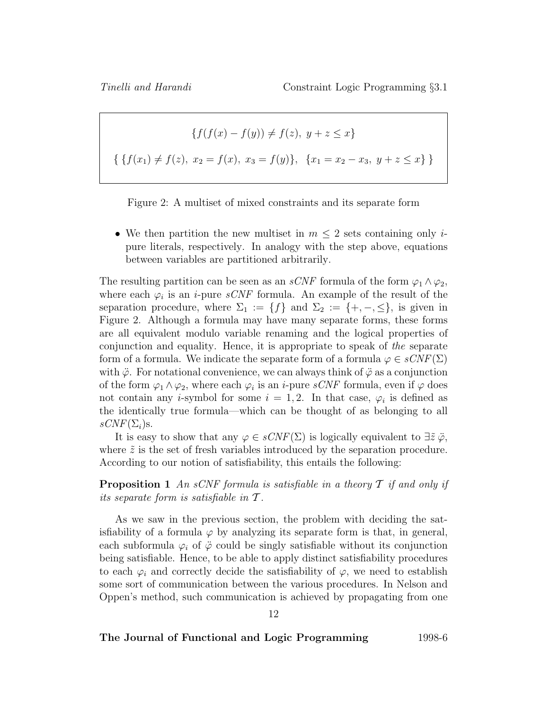$$
\{f(f(x) - f(y)) \neq f(z), y + z \leq x\}
$$
  

$$
\{\{f(x_1) \neq f(z), x_2 = f(x), x_3 = f(y)\}, \{x_1 = x_2 - x_3, y + z \leq x\}\}
$$



• We then partition the new multiset in  $m \leq 2$  sets containing only *i*pure literals, respectively. In analogy with the step above, equations between variables are partitioned arbitrarily.

The resulting partition can be seen as an *sCNF* formula of the form  $\varphi_1 \wedge \varphi_2$ , where each  $\varphi_i$  is an *i*-pure *sCNF* formula. An example of the result of the separation procedure, where  $\Sigma_1 := \{f\}$  and  $\Sigma_2 := \{+, -, \leq\}$ , is given in Figure 2. Although a formula may have many separate forms, these forms are all equivalent modulo variable renaming and the logical properties of conjunction and equality. Hence, it is appropriate to speak of the separate form of a formula. We indicate the separate form of a formula  $\varphi \in sCNF(\Sigma)$ with  $\ddot{\varphi}$ . For notational convenience, we can always think of  $\ddot{\varphi}$  as a conjunction of the form  $\varphi_1 \wedge \varphi_2$ , where each  $\varphi_i$  is an *i*-pure *sCNF* formula, even if  $\varphi$  does not contain any *i*-symbol for some  $i = 1, 2$ . In that case,  $\varphi_i$  is defined as the identically true formula—which can be thought of as belonging to all  $sCNF(\Sigma_i)s$ .

It is easy to show that any  $\varphi \in sCNF(\Sigma)$  is logically equivalent to  $\exists \tilde{z} \, \ddot{\varphi}$ , where  $\tilde{z}$  is the set of fresh variables introduced by the separation procedure. According to our notion of satisfiability, this entails the following:

**Proposition 1** An sCNF formula is satisfiable in a theory  $\mathcal T$  if and only if its separate form is satisfiable in  $T$ .

As we saw in the previous section, the problem with deciding the satisfiability of a formula  $\varphi$  by analyzing its separate form is that, in general, each subformula  $\varphi_i$  of  $\ddot{\varphi}$  could be singly satisfiable without its conjunction being satisfiable. Hence, to be able to apply distinct satisfiability procedures to each  $\varphi_i$  and correctly decide the satisfiability of  $\varphi$ , we need to establish some sort of communication between the various procedures. In Nelson and Oppen's method, such communication is achieved by propagating from one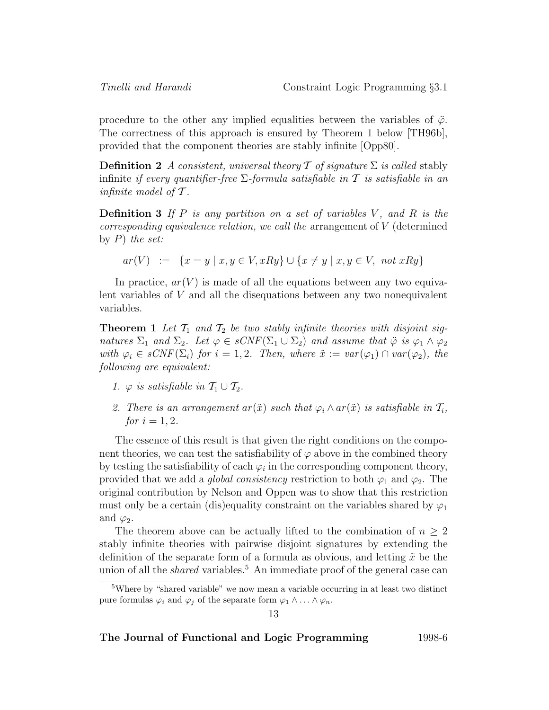procedure to the other any implied equalities between the variables of  $\ddot{\varphi}$ . The correctness of this approach is ensured by Theorem 1 below [TH96b], provided that the component theories are stably infinite [Opp80].

**Definition 2** A consistent, universal theory  $\mathcal T$  of signature  $\Sigma$  is called stably infinite if every quantifier-free  $\Sigma$ -formula satisfiable in  $\mathcal T$  is satisfiable in an infinite model of  $\mathcal T$ .

**Definition 3** If P is any partition on a set of variables V, and R is the  $corresponding \, equivalence \, relation, \, we \, call \, the \, arrangement \, of \, V \, (determined \, )$ by  $P$ ) the set:

 $ar(V) := \{x = y \mid x, y \in V, xRy\} \cup \{x \neq y \mid x, y \in V, not xRy\}$ 

In practice,  $ar(V)$  is made of all the equations between any two equivalent variables of V and all the disequations between any two nonequivalent variables.

**Theorem 1** Let  $\mathcal{T}_1$  and  $\mathcal{T}_2$  be two stably infinite theories with disjoint signatures  $\Sigma_1$  and  $\Sigma_2$ . Let  $\varphi \in sCNF(\Sigma_1 \cup \Sigma_2)$  and assume that  $\ddot{\varphi}$  is  $\varphi_1 \wedge \varphi_2$ with  $\varphi_i \in sCNF(\Sigma_i)$  for  $i = 1, 2$ . Then, where  $\tilde{x} := var(\varphi_1) \cap var(\varphi_2)$ , the following are equivalent:

- 1.  $\varphi$  is satisfiable in  $\mathcal{T}_1 \cup \mathcal{T}_2$ .
- 2. There is an arrangement ar $(\tilde{x})$  such that  $\varphi_i \wedge ar(\tilde{x})$  is satisfiable in  $\mathcal{T}_i$ , *for*  $i = 1, 2$ .

The essence of this result is that given the right conditions on the component theories, we can test the satisfiability of  $\varphi$  above in the combined theory by testing the satisfiability of each  $\varphi_i$  in the corresponding component theory, provided that we add a *global consistency* restriction to both  $\varphi_1$  and  $\varphi_2$ . The original contribution by Nelson and Oppen was to show that this restriction must only be a certain (dis)equality constraint on the variables shared by  $\varphi_1$ and  $\varphi_2$ .

The theorem above can be actually lifted to the combination of  $n \geq 2$ stably infinite theories with pairwise disjoint signatures by extending the definition of the separate form of a formula as obvious, and letting  $\tilde{x}$  be the union of all the *shared* variables.<sup>5</sup> An immediate proof of the general case can

<sup>5</sup>Where by "shared variable" we now mean a variable occurring in at least two distinct pure formulas  $\varphi_i$  and  $\varphi_j$  of the separate form  $\varphi_1 \wedge \ldots \wedge \varphi_n$ .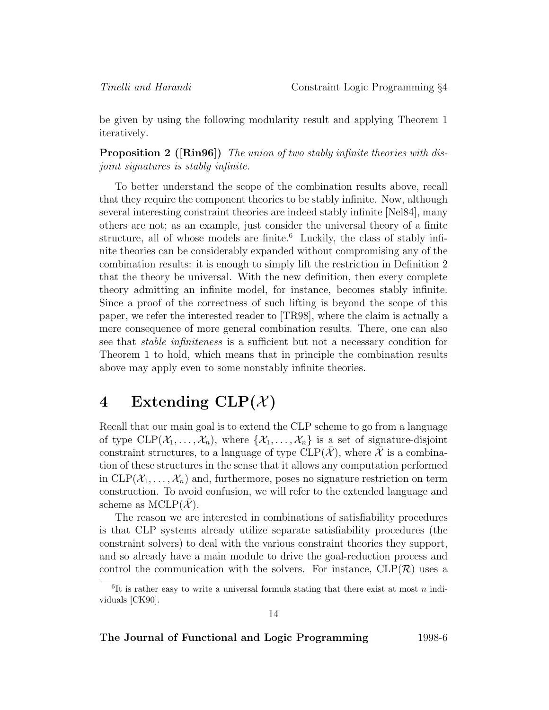be given by using the following modularity result and applying Theorem 1 iteratively.

**Proposition 2 ([Rin96])** The union of two stably infinite theories with disjoint signatures is stably infinite.

To better understand the scope of the combination results above, recall that they require the component theories to be stably infinite. Now, although several interesting constraint theories are indeed stably infinite [Nel84], many others are not; as an example, just consider the universal theory of a finite structure, all of whose models are finite.<sup>6</sup> Luckily, the class of stably infinite theories can be considerably expanded without compromising any of the combination results: it is enough to simply lift the restriction in Definition 2 that the theory be universal. With the new definition, then every complete theory admitting an infinite model, for instance, becomes stably infinite. Since a proof of the correctness of such lifting is beyond the scope of this paper, we refer the interested reader to [TR98], where the claim is actually a mere consequence of more general combination results. There, one can also see that stable infiniteness is a sufficient but not a necessary condition for Theorem 1 to hold, which means that in principle the combination results above may apply even to some nonstably infinite theories.

# **4** Extending  $CLP(X)$

Recall that our main goal is to extend the CLP scheme to go from a language of type  $CLP(\mathcal{X}_1,\ldots,\mathcal{X}_n)$ , where  $\{\mathcal{X}_1,\ldots,\mathcal{X}_n\}$  is a set of signature-disjoint constraint structures, to a language of type  $CLP(\mathcal{X})$ , where X is a combination of these structures in the sense that it allows any computation performed in  $CLP(\mathcal{X}_1,\ldots,\mathcal{X}_n)$  and, furthermore, poses no signature restriction on term construction. To avoid confusion, we will refer to the extended language and scheme as  $MCLP(X)$ .

The reason we are interested in combinations of satisfiability procedures is that CLP systems already utilize separate satisfiability procedures (the constraint solvers) to deal with the various constraint theories they support, and so already have a main module to drive the goal-reduction process and control the communication with the solvers. For instance,  $CLP(\mathcal{R})$  uses a

 ${}^{6}$ It is rather easy to write a universal formula stating that there exist at most n individuals [CK90].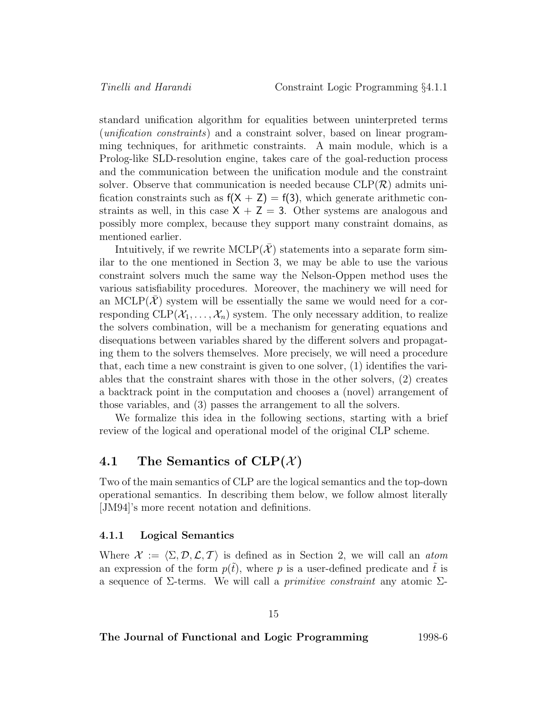standard unification algorithm for equalities between uninterpreted terms (unification constraints) and a constraint solver, based on linear programming techniques, for arithmetic constraints. A main module, which is a Prolog-like SLD-resolution engine, takes care of the goal-reduction process and the communication between the unification module and the constraint solver. Observe that communication is needed because  $CLP(\mathcal{R})$  admits unification constraints such as  $f(X + Z) = f(3)$ , which generate arithmetic constraints as well, in this case  $X + Z = 3$ . Other systems are analogous and possibly more complex, because they support many constraint domains, as mentioned earlier.

Intuitively, if we rewrite  $MCLP(\overline{X})$  statements into a separate form similar to the one mentioned in Section 3, we may be able to use the various constraint solvers much the same way the Nelson-Oppen method uses the various satisfiability procedures. Moreover, the machinery we will need for an MCLP( $\mathcal{X}$ ) system will be essentially the same we would need for a corresponding  $CLP(\mathcal{X}_1,\ldots,\mathcal{X}_n)$  system. The only necessary addition, to realize the solvers combination, will be a mechanism for generating equations and disequations between variables shared by the different solvers and propagating them to the solvers themselves. More precisely, we will need a procedure that, each time a new constraint is given to one solver, (1) identifies the variables that the constraint shares with those in the other solvers, (2) creates a backtrack point in the computation and chooses a (novel) arrangement of those variables, and (3) passes the arrangement to all the solvers.

We formalize this idea in the following sections, starting with a brief review of the logical and operational model of the original CLP scheme.

### **4.1** The Semantics of  $CLP(X)$

Two of the main semantics of CLP are the logical semantics and the top-down operational semantics. In describing them below, we follow almost literally [JM94]'s more recent notation and definitions.

#### **4.1.1 Logical Semantics**

Where  $\mathcal{X} := \langle \Sigma, \mathcal{D}, \mathcal{L}, \mathcal{T} \rangle$  is defined as in Section 2, we will call an atom an expression of the form  $p(\tilde{t})$ , where p is a user-defined predicate and  $\tilde{t}$  is a sequence of  $\Sigma$ -terms. We will call a *primitive constraint* any atomic  $\Sigma$ -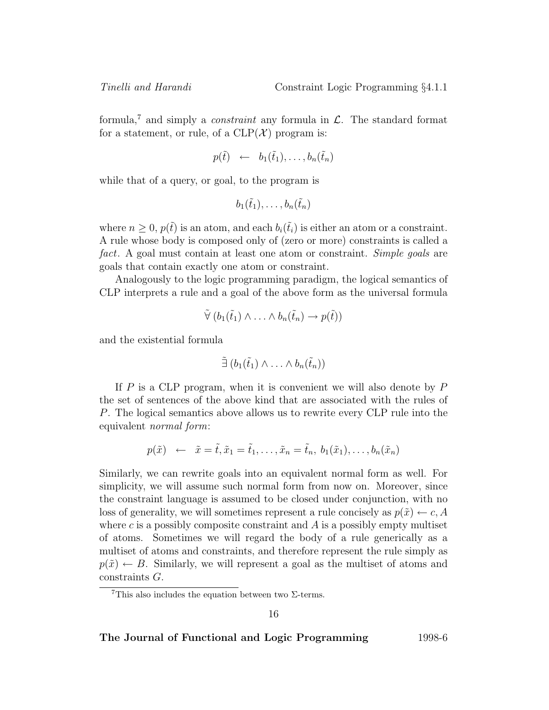formula,<sup>7</sup> and simply a *constraint* any formula in  $\mathcal{L}$ . The standard format for a statement, or rule, of a  $CLP(\mathcal{X})$  program is:

$$
p(\tilde{t}) \leftarrow b_1(\tilde{t}_1), \ldots, b_n(\tilde{t}_n)
$$

while that of a query, or goal, to the program is

$$
b_1(\tilde{t}_1),\ldots,b_n(\tilde{t}_n)
$$

where  $n \geq 0$ ,  $p(\tilde{t})$  is an atom, and each  $b_i(\tilde{t}_i)$  is either an atom or a constraint. A rule whose body is composed only of (zero or more) constraints is called a fact. A goal must contain at least one atom or constraint. Simple goals are goals that contain exactly one atom or constraint.

Analogously to the logic programming paradigm, the logical semantics of CLP interprets a rule and a goal of the above form as the universal formula

$$
\tilde{\forall} (b_1(\tilde{t}_1) \wedge \ldots \wedge b_n(\tilde{t}_n) \rightarrow p(\tilde{t}))
$$

and the existential formula

$$
\tilde{\exists} (b_1(\tilde{t}_1) \wedge \ldots \wedge b_n(\tilde{t}_n))
$$

If  $P$  is a CLP program, when it is convenient we will also denote by  $P$ the set of sentences of the above kind that are associated with the rules of P. The logical semantics above allows us to rewrite every CLP rule into the equivalent normal form:

$$
p(\tilde{x}) \leftarrow \tilde{x} = \tilde{t}, \tilde{x}_1 = \tilde{t}_1, \dots, \tilde{x}_n = \tilde{t}_n, b_1(\tilde{x}_1), \dots, b_n(\tilde{x}_n)
$$

Similarly, we can rewrite goals into an equivalent normal form as well. For simplicity, we will assume such normal form from now on. Moreover, since the constraint language is assumed to be closed under conjunction, with no loss of generality, we will sometimes represent a rule concisely as  $p(\tilde{x}) \leftarrow c, A$ where c is a possibly composite constraint and  $\tilde{A}$  is a possibly empty multiset of atoms. Sometimes we will regard the body of a rule generically as a multiset of atoms and constraints, and therefore represent the rule simply as  $p(\tilde{x}) \leftarrow B$ . Similarly, we will represent a goal as the multiset of atoms and constraints G.

<sup>&</sup>lt;sup>7</sup>This also includes the equation between two  $\Sigma$ -terms.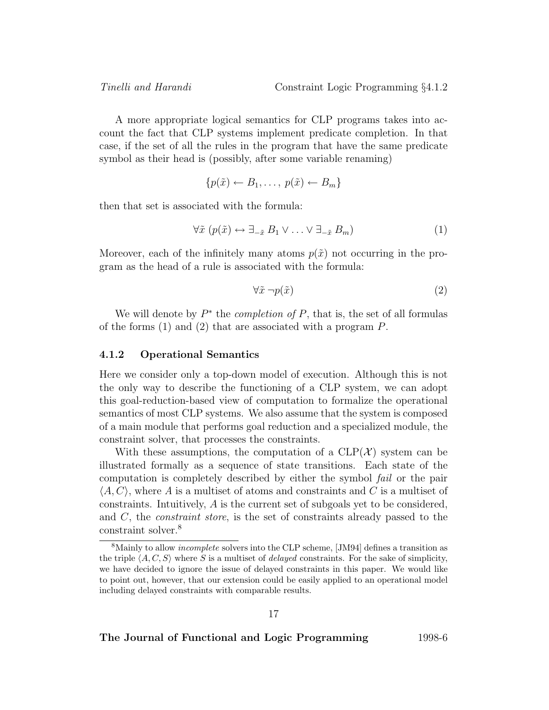A more appropriate logical semantics for CLP programs takes into account the fact that CLP systems implement predicate completion. In that case, if the set of all the rules in the program that have the same predicate symbol as their head is (possibly, after some variable renaming)

$$
\{p(\tilde{x}) \leftarrow B_1, \ldots, p(\tilde{x}) \leftarrow B_m\}
$$

then that set is associated with the formula:

$$
\forall \tilde{x} \ (p(\tilde{x}) \leftrightarrow \exists_{-\tilde{x}} \ B_1 \lor \dots \lor \exists_{-\tilde{x}} \ B_m)
$$
 (1)

Moreover, each of the infinitely many atoms  $p(\tilde{x})$  not occurring in the program as the head of a rule is associated with the formula:

$$
\forall \tilde{x} \neg p(\tilde{x}) \tag{2}
$$

We will denote by  $P^*$  the *completion of P*, that is, the set of all formulas of the forms  $(1)$  and  $(2)$  that are associated with a program P.

#### **4.1.2 Operational Semantics**

Here we consider only a top-down model of execution. Although this is not the only way to describe the functioning of a CLP system, we can adopt this goal-reduction-based view of computation to formalize the operational semantics of most CLP systems. We also assume that the system is composed of a main module that performs goal reduction and a specialized module, the constraint solver, that processes the constraints.

With these assumptions, the computation of a  $CLP(\mathcal{X})$  system can be illustrated formally as a sequence of state transitions. Each state of the computation is completely described by either the symbol fail or the pair  $\langle A, C \rangle$ , where A is a multiset of atoms and constraints and C is a multiset of constraints. Intuitively, A is the current set of subgoals yet to be considered, and C, the constraint store, is the set of constraints already passed to the constraint solver.<sup>8</sup>

<sup>&</sup>lt;sup>8</sup>Mainly to allow *incomplete* solvers into the CLP scheme, [JM94] defines a transition as the triple  $\langle A, C, S \rangle$  where S is a multiset of *delayed* constraints. For the sake of simplicity, we have decided to ignore the issue of delayed constraints in this paper. We would like to point out, however, that our extension could be easily applied to an operational model including delayed constraints with comparable results.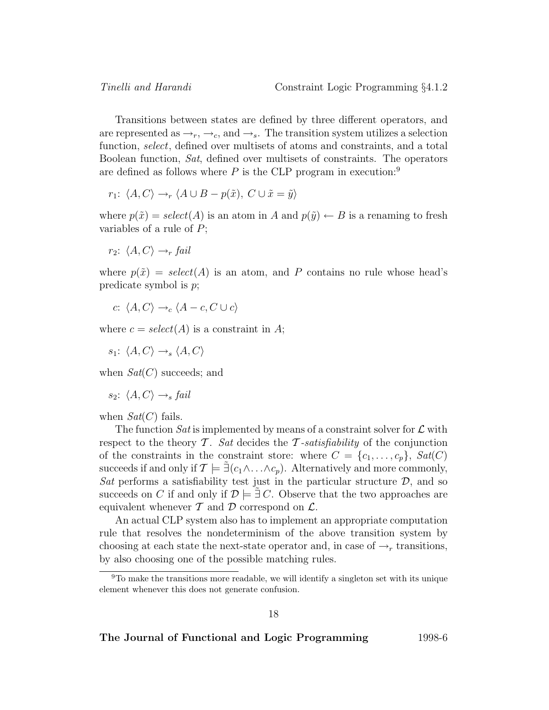Transitions between states are defined by three different operators, and are represented as  $\rightarrow_r, \rightarrow_c$ , and  $\rightarrow_s$ . The transition system utilizes a selection function, select, defined over multisets of atoms and constraints, and a total Boolean function, Sat, defined over multisets of constraints. The operators are defined as follows where  $P$  is the CLP program in execution:<sup>9</sup>

$$
r_1: \langle A, C \rangle \rightarrow_r \langle A \cup B - p(\tilde{x}), C \cup \tilde{x} = \tilde{y} \rangle
$$

where  $p(\tilde{x}) = select(A)$  is an atom in A and  $p(\tilde{y}) \leftarrow B$  is a renaming to fresh variables of a rule of  $P$ ;

$$
r_2: \langle A, C \rangle \rightarrow_r fail
$$

where  $p(\tilde{x}) = select(A)$  is an atom, and P contains no rule whose head's predicate symbol is p;

$$
c: \langle A, C \rangle \rightarrow_c \langle A - c, C \cup c \rangle
$$

where  $c = select(A)$  is a constraint in A;

 $s_1$ :  $\langle A, C \rangle \rightarrow_s \langle A, C \rangle$ 

when  $Sat(C)$  succeeds; and

$$
s_2: \langle A, C \rangle \rightarrow_s fail
$$

when  $Sat(C)$  fails.

The function Sat is implemented by means of a constraint solver for  $\mathcal L$  with respect to the theory  $\mathcal T$ . Sat decides the  $\mathcal T$ -satisfiability of the conjunction of the constraints in the constraint store: where  $C = \{c_1, \ldots, c_p\}$ ,  $Sat(C)$ succeeds if and only if  $\mathcal{T} \models \exists (c_1 \land \ldots \land c_p)$ . Alternatively and more commonly, Sat performs a satisfiability test just in the particular structure  $D$ , and so succeeds on C if and only if  $\mathcal{D} \models \exists C$ . Observe that the two approaches are equivalent whenever  $\mathcal T$  and  $\mathcal D$  correspond on  $\mathcal L$ .

An actual CLP system also has to implement an appropriate computation rule that resolves the nondeterminism of the above transition system by choosing at each state the next-state operator and, in case of  $\rightarrow_r$  transitions, by also choosing one of the possible matching rules.

 $9T<sub>0</sub>$  make the transitions more readable, we will identify a singleton set with its unique element whenever this does not generate confusion.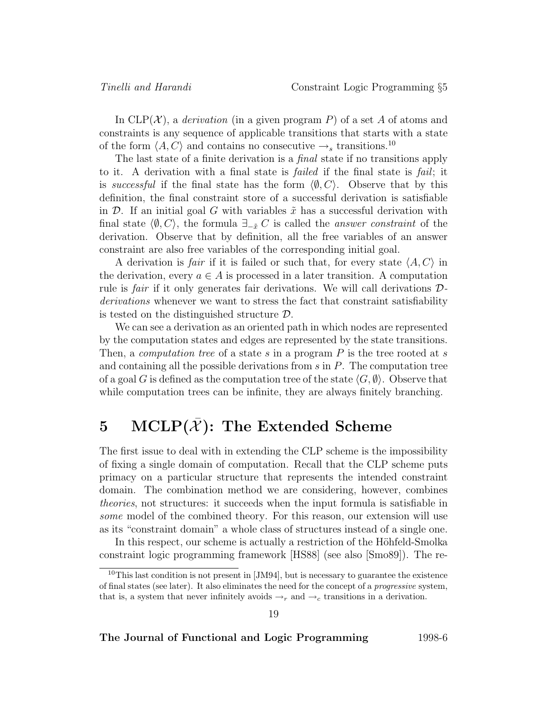In  $CLP(X)$ , a *derivation* (in a given program P) of a set A of atoms and constraints is any sequence of applicable transitions that starts with a state of the form  $\langle A, C \rangle$  and contains no consecutive  $\rightarrow_s$  transitions.<sup>10</sup>

The last state of a finite derivation is a *final* state if no transitions apply to it. A derivation with a final state is *failed* if the final state is *fail*; it is successful if the final state has the form  $\langle \emptyset, C \rangle$ . Observe that by this definition, the final constraint store of a successful derivation is satisfiable in D. If an initial goal G with variables  $\tilde{x}$  has a successful derivation with final state  $\langle \emptyset, C \rangle$ , the formula  $\exists_{-\tilde{x}} C$  is called the *answer constraint* of the derivation. Observe that by definition, all the free variables of an answer constraint are also free variables of the corresponding initial goal.

A derivation is *fair* if it is failed or such that, for every state  $\langle A, C \rangle$  in the derivation, every  $a \in A$  is processed in a later transition. A computation rule is *fair* if it only generates fair derivations. We will call derivations  $\mathcal{D}$ derivations whenever we want to stress the fact that constraint satisfiability is tested on the distinguished structure  $\mathcal{D}$ .

We can see a derivation as an oriented path in which nodes are represented by the computation states and edges are represented by the state transitions. Then, a *computation tree* of a state s in a program  $P$  is the tree rooted at s and containing all the possible derivations from  $s$  in  $P$ . The computation tree of a goal G is defined as the computation tree of the state  $\langle G, \emptyset \rangle$ . Observe that while computation trees can be infinite, they are always finitely branching.

# **5** MCLP $(\overline{X})$ : The Extended Scheme

The first issue to deal with in extending the CLP scheme is the impossibility of fixing a single domain of computation. Recall that the CLP scheme puts primacy on a particular structure that represents the intended constraint domain. The combination method we are considering, however, combines theories, not structures: it succeeds when the input formula is satisfiable in some model of the combined theory. For this reason, our extension will use as its "constraint domain" a whole class of structures instead of a single one.

In this respect, our scheme is actually a restriction of the Höhfeld-Smolka constraint logic programming framework [HS88] (see also [Smo89]). The re-

19

<sup>&</sup>lt;sup>10</sup>This last condition is not present in [JM94], but is necessary to guarantee the existence of final states (see later). It also eliminates the need for the concept of a progressive system, that is, a system that never infinitely avoids  $\rightarrow_r$  and  $\rightarrow_c$  transitions in a derivation.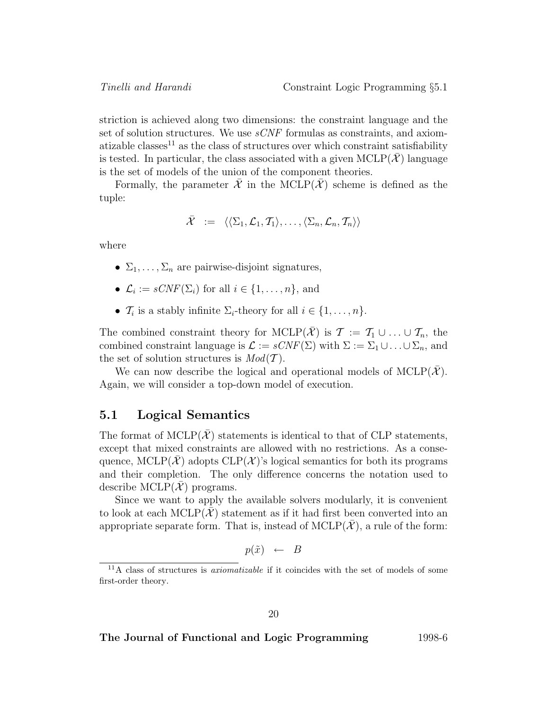striction is achieved along two dimensions: the constraint language and the set of solution structures. We use  $sCNF$  formulas as constraints, and axiomatizable classes<sup>11</sup> as the class of structures over which constraint satisfiability is tested. In particular, the class associated with a given  $MCLP(\overline{X})$  language is the set of models of the union of the component theories.

Formally, the parameter  $\overline{\mathcal{X}}$  in the MCLP( $\overline{\mathcal{X}}$ ) scheme is defined as the tuple:

$$
\bar{\mathcal{X}} \hspace{2mm} := \hspace{2mm} \langle\langle \Sigma_1, \mathcal{L}_1, \mathcal{T}_1 \rangle, \ldots, \langle \Sigma_n, \mathcal{L}_n, \mathcal{T}_n \rangle\rangle
$$

where

- $\Sigma_1, \ldots, \Sigma_n$  are pairwise-disjoint signatures,
- $\mathcal{L}_i := sCNF(\Sigma_i)$  for all  $i \in \{1, \ldots, n\}$ , and
- $\mathcal{T}_i$  is a stably infinite  $\Sigma_i$ -theory for all  $i \in \{1, \ldots, n\}.$

The combined constraint theory for MCLP( $\overline{X}$ ) is  $\mathcal{T} := \mathcal{T}_1 \cup ... \cup \mathcal{T}_n$ , the combined constraint language is  $\mathcal{L} := sCNF(\Sigma)$  with  $\Sigma := \Sigma_1 \cup ... \cup \Sigma_n$ , and the set of solution structures is  $Mod(T)$ .

We can now describe the logical and operational models of MCLP( $\overline{X}$ ). Again, we will consider a top-down model of execution.

### **5.1 Logical Semantics**

The format of  $MCLP(\mathcal{X})$  statements is identical to that of CLP statements, except that mixed constraints are allowed with no restrictions. As a consequence, MCLP( $\mathcal{X}$ ) adopts CLP( $\mathcal{X}$ )'s logical semantics for both its programs and their completion. The only difference concerns the notation used to describe MCLP $(\mathcal{X})$  programs.

Since we want to apply the available solvers modularly, it is convenient to look at each MCLP $(\mathcal{X})$  statement as if it had first been converted into an appropriate separate form. That is, instead of  $MCLP(\mathcal{X})$ , a rule of the form:

$$
p(\tilde{x}) \leftarrow B
$$

 $11A$  class of structures is *axiomatizable* if it coincides with the set of models of some first-order theory.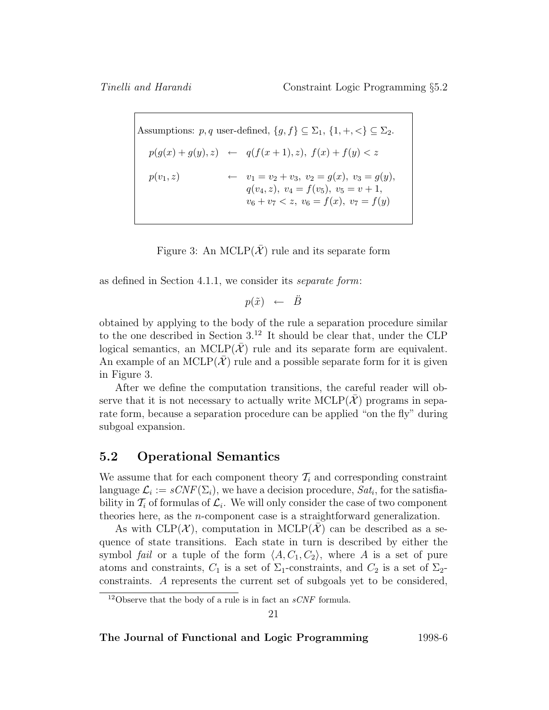Assumptions:  $p, q$  user-defined,  $\{g, f\} \subseteq \Sigma_1$ ,  $\{1, +, <\} \subseteq \Sigma_2$ .  $p(g(x) + g(y), z) \leftarrow q(f(x+1), z), f(x) + f(y) < z$  $p(v_1, z)$   $\leftarrow$   $v_1 = v_2 + v_3, v_2 = g(x), v_3 = g(y),$  $q(v_4, z), v_4 = f(v_5), v_5 = v + 1,$  $v_6 + v_7 < z, v_6 = f(x), v_7 = f(y)$ 

Figure 3: An MCLP( $\overline{\mathcal{X}}$ ) rule and its separate form

as defined in Section 4.1.1, we consider its separate form:

 $p(\tilde{x}) \leftarrow \tilde{B}$ 

obtained by applying to the body of the rule a separation procedure similar to the one described in Section  $3^{12}$  It should be clear that, under the CLP logical semantics, an MCLP( $\overline{X}$ ) rule and its separate form are equivalent. An example of an MCLP( $\mathcal{X}$ ) rule and a possible separate form for it is given in Figure 3.

After we define the computation transitions, the careful reader will observe that it is not necessary to actually write  $MCLP(\mathcal{X})$  programs in separate form, because a separation procedure can be applied "on the fly" during subgoal expansion.

### **5.2 Operational Semantics**

We assume that for each component theory  $\mathcal{T}_i$  and corresponding constraint language  $\mathcal{L}_i := sCNF(\Sigma_i)$ , we have a decision procedure,  $Sat_i$ , for the satisfiability in  $\mathcal{T}_i$  of formulas of  $\mathcal{L}_i$ . We will only consider the case of two component theories here, as the n-component case is a straightforward generalization.

As with  $CLP(\mathcal{X})$ , computation in  $MCLP(\mathcal{X})$  can be described as a sequence of state transitions. Each state in turn is described by either the symbol fail or a tuple of the form  $\langle A, C_1, C_2 \rangle$ , where A is a set of pure atoms and constraints,  $C_1$  is a set of  $\Sigma_1$ -constraints, and  $C_2$  is a set of  $\Sigma_2$ constraints. A represents the current set of subgoals yet to be considered,

21

<sup>&</sup>lt;sup>12</sup>Observe that the body of a rule is in fact an  $sCNF$  formula.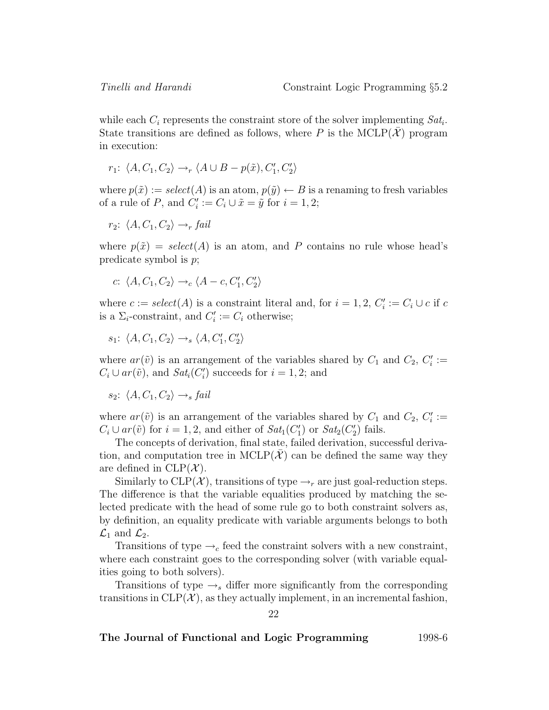while each  $C_i$  represents the constraint store of the solver implementing  $Sat_i$ . State transitions are defined as follows, where P is the MCLP( $\overline{X}$ ) program in execution:

 $r_1$ :  $\langle A, C_1, C_2 \rangle \rightarrow_r \langle A \cup B - p(\tilde{x}), C_1', C_2' \rangle$ 

where  $p(\tilde{x}) := select(A)$  is an atom,  $p(\tilde{y}) \leftarrow B$  is a renaming to fresh variables of a rule of P, and  $C_i' := C_i \cup \tilde{x} = \tilde{y}$  for  $i = 1, 2;$ 

$$
r_2: \langle A, C_1, C_2 \rangle \longrightarrow_r fail
$$

where  $p(\tilde{x}) = select(A)$  is an atom, and P contains no rule whose head's predicate symbol is p;

$$
c: \langle A, C_1, C_2 \rangle \rightarrow_c \langle A - c, C'_1, C'_2 \rangle
$$

where  $c := select(A)$  is a constraint literal and, for  $i = 1, 2, C'_i := C_i \cup c$  if c is a  $\Sigma_i$ -constraint, and  $C'_i := C_i$  otherwise;

 $s_1$ :  $\langle A, C_1, C_2 \rangle \rightarrow_s \langle A, C'_1, C'_2 \rangle$ 

where  $ar(\tilde{v})$  is an arrangement of the variables shared by  $C_1$  and  $C_2$ ,  $C_i' :=$  $C_i \cup ar(\tilde{v})$ , and  $Sat_i(C'_i)$  succeeds for  $i = 1, 2$ ; and

$$
s_2
$$
:  $\langle A, C_1, C_2 \rangle \rightarrow_s fail$ 

where  $ar(\tilde{v})$  is an arrangement of the variables shared by  $C_1$  and  $C_2$ ,  $C_i' :=$  $C_i \cup ar(\tilde{v})$  for  $i = 1, 2$ , and either of  $Sat_1(C'_1)$  or  $Sat_2(C'_2)$  fails.

The concepts of derivation, final state, failed derivation, successful derivation, and computation tree in  $MCLP(\mathcal{X})$  can be defined the same way they are defined in  $CLP(X)$ .

Similarly to  $CLP(\mathcal{X})$ , transitions of type  $\rightarrow_r$  are just goal-reduction steps. The difference is that the variable equalities produced by matching the selected predicate with the head of some rule go to both constraint solvers as, by definition, an equality predicate with variable arguments belongs to both  $\mathcal{L}_1$  and  $\mathcal{L}_2$ .

Transitions of type  $\rightarrow_c$  feed the constraint solvers with a new constraint, where each constraint goes to the corresponding solver (with variable equalities going to both solvers).

Transitions of type  $\rightarrow_s$  differ more significantly from the corresponding transitions in  $CLP(\mathcal{X})$ , as they actually implement, in an incremental fashion,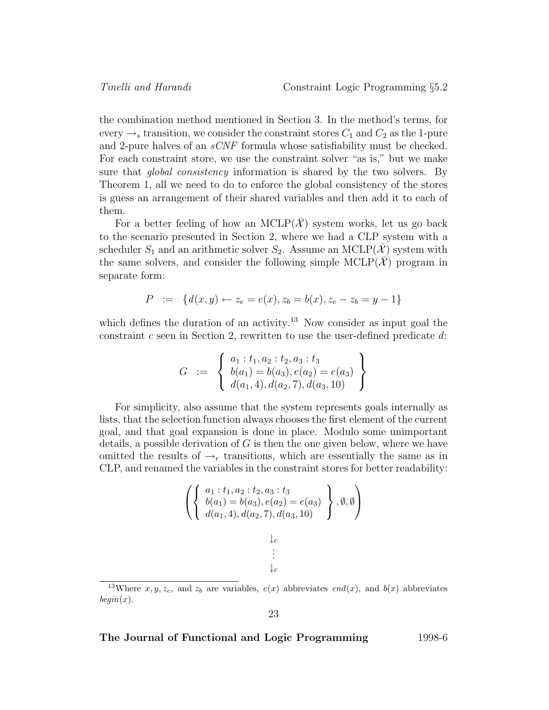the combination method mentioned in Section 3. In the method's terms, for every  $\rightarrow$  transition, we consider the constraint stores  $C_1$  and  $C_2$  as the 1-pure and 2-pure halves of an sCNF formula whose satisfiability must be checked. For each constraint store, we use the constraint solver "as is," but we make sure that *global consistency* information is shared by the two solvers. By Theorem 1, all we need to do to enforce the global consistency of the stores is guess an arrangement of their shared variables and then add it to each of them.

For a better feeling of how an MCLP( $\mathcal{X}$ ) system works, let us go back to the scenario presented in Section 2, where we had a CLP system with a scheduler  $S_1$  and an arithmetic solver  $S_2$ . Assume an MCLP(X) system with the same solvers, and consider the following simple  $MCLP(\mathcal{X})$  program in separate form:

$$
P := \{ d(x, y) \leftarrow z_e = e(x), z_b = b(x), z_e - z_b = y - 1 \}
$$

which defines the duration of an activity.<sup>13</sup> Now consider as input goal the constraint  $c$  seen in Section 2, rewritten to use the user-defined predicate  $d$ :

$$
G = \left\{ \begin{array}{l} a_1 : t_1, a_2 : t_2, a_3 : t_3 \\ b(a_1) = b(a_3), e(a_2) = e(a_3) \\ d(a_1, 4), d(a_2, 7), d(a_3, 10) \end{array} \right\}
$$

For simplicity, also assume that the system represents goals internally as lists, that the selection function always chooses the first element of the current goal, and that goal expansion is done in place. Modulo some unimportant details, a possible derivation of  $G$  is then the one given below, where we have omitted the results of  $\rightarrow_r$  transitions, which are essentially the same as in CLP, and renamed the variables in the constraint stores for better readability:

$$
\left( \left\{ \begin{array}{c} a_1 : t_1, a_2 : t_2, a_3 : t_3 \\ b(a_1) = b(a_3), e(a_2) = e(a_3) \\ d(a_1, 4), d(a_2, 7), d(a_3, 10) \end{array} \right\}, \emptyset, \emptyset \right)
$$
  
 
$$
\downarrow_c
$$
  
 
$$
\vdots
$$

$$
23\quad
$$

<sup>&</sup>lt;sup>13</sup>Where  $x, y, z_e$ , and  $z_b$  are variables,  $e(x)$  abbreviates end(x), and  $b(x)$  abbreviates  $begin(x).$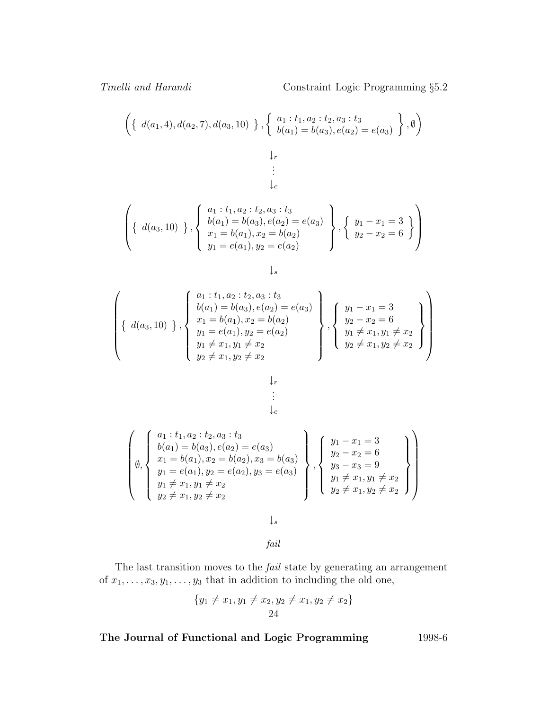Tinelli and Harandi Constraint Logic Programming  $\S 5.2$ 

$$
\left(\left\{\ d(a_1,4), d(a_2,7), d(a_3,10)\right\}, \left\{\begin{array}{l} a_1 : t_1, a_2 : t_2, a_3 : t_3 \\ b(a_1) = b(a_3), e(a_2) = e(a_3)\end{array}\right\}, \emptyset\right)
$$

$$
\vdots \\ \downarrow_c
$$

 $\downarrow_r$ 

$$
\left\{\n\left\{\n\begin{array}{c}\na_1 : t_1, a_2 : t_2, a_3 : t_3 \\
b(a_1) = b(a_3), e(a_2) = e(a_3) \\
x_1 = b(a_1), x_2 = b(a_2)\n\end{array}\n\right\},\n\left\{\n\begin{array}{c}\ny_1 - x_1 = 3 \\
y_2 - x_2 = 6\n\end{array}\n\right\}
$$

$$
\downarrow_s
$$

$$
\begin{Bmatrix}\n\left\{\n\begin{array}{c}\na_1 : t_1, a_2 : t_2, a_3 : t_3 \\
b(a_1) = b(a_3), e(a_2) = e(a_3) \\
x_1 = b(a_1), x_2 = b(a_2) \\
y_1 = e(a_1), y_2 = e(a_2) \\
y_1 \neq x_1, y_1 \neq x_2 \\
y_2 \neq x_1, y_2 \neq x_2\n\end{array}\n\right\}, \begin{Bmatrix}\ny_1 - x_1 = 3 \\
y_2 - x_2 = 6 \\
y_1 \neq x_1, y_1 \neq x_2 \\
y_2 \neq x_1, y_2 \neq x_2\n\end{Bmatrix}\n\right\}
$$

$$
\begin{array}{c}\n\downarrow_r \\
\vdots \\
\downarrow_c\n\end{array}
$$

$$
\begin{pmatrix}\na_1 : t_1, a_2 : t_2, a_3 : t_3 \\
b(a_1) = b(a_3), e(a_2) = e(a_3) \\
x_1 = b(a_1), x_2 = b(a_2), x_3 = b(a_3) \\
y_1 = e(a_1), y_2 = e(a_2), y_3 = e(a_3) \\
y_1 \neq x_1, y_1 \neq x_2 \\
y_2 \neq x_1, y_2 \neq x_2\n\end{pmatrix}\n\begin{pmatrix}\ny_1 - x_1 = 3 \\
y_2 - x_2 = 6 \\
y_3 - x_3 = 9 \\
y_1 \neq x_1, y_1 \neq x_2 \\
y_2 \neq x_1, y_2 \neq x_2\n\end{pmatrix}
$$

↓s

fail

The last transition moves to the fail state by generating an arrangement of  $x_1, \ldots, x_3, y_1, \ldots, y_3$  that in addition to including the old one,

$$
{y_1 \neq x_1, y_1 \neq x_2, y_2 \neq x_1, y_2 \neq x_2}
$$
  
24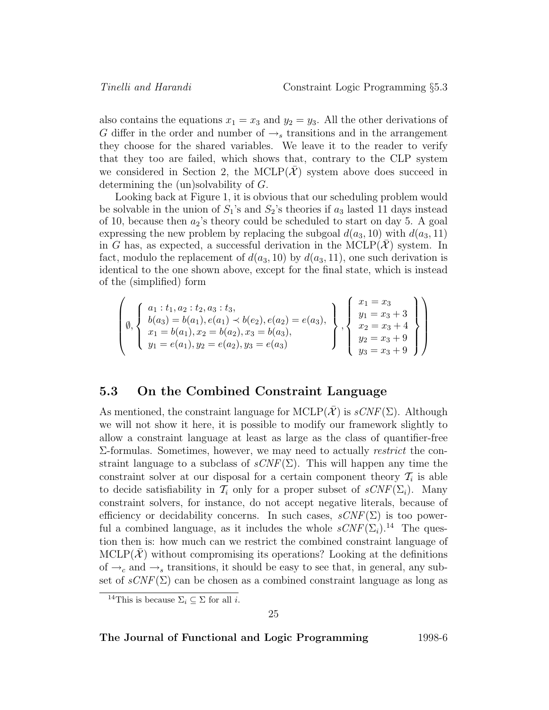also contains the equations  $x_1 = x_3$  and  $y_2 = y_3$ . All the other derivations of G differ in the order and number of  $\rightarrow_s$  transitions and in the arrangement they choose for the shared variables. We leave it to the reader to verify that they too are failed, which shows that, contrary to the CLP system we considered in Section 2, the MCLP $(\mathcal{X})$  system above does succeed in determining the (un)solvability of G.

Looking back at Figure 1, it is obvious that our scheduling problem would be solvable in the union of  $S_1$ 's and  $S_2$ 's theories if  $a_3$  lasted 11 days instead of 10, because then  $a_2$ 's theory could be scheduled to start on day 5. A goal expressing the new problem by replacing the subgoal  $d(a_3, 10)$  with  $d(a_3, 11)$ in G has, as expected, a successful derivation in the  $MCLP(X)$  system. In fact, modulo the replacement of  $d(a_3, 10)$  by  $d(a_3, 11)$ , one such derivation is identical to the one shown above, except for the final state, which is instead of the (simplified) form

$$
\left(\emptyset, \left\{\n\begin{array}{l}\na_1 : t_1, a_2 : t_2, a_3 : t_3, \\
b(a_3) = b(a_1), e(a_1) \prec b(e_2), e(a_2) = e(a_3), \\
x_1 = b(a_1), x_2 = b(a_2), x_3 = b(a_3), \\
y_1 = e(a_1), y_2 = e(a_2), y_3 = e(a_3)\n\end{array}\n\right\}, \left\{\n\begin{array}{l}\nx_1 = x_3 \\
y_1 = x_3 + 3 \\
x_2 = x_3 + 4 \\
y_2 = x_3 + 9 \\
y_3 = x_3 + 9\n\end{array}\n\right\}
$$

### **5.3 On the Combined Constraint Language**

As mentioned, the constraint language for MCLP( $\mathcal{X}$ ) is  $sCNF(\Sigma)$ . Although we will not show it here, it is possible to modify our framework slightly to allow a constraint language at least as large as the class of quantifier-free Σ-formulas. Sometimes, however, we may need to actually restrict the constraint language to a subclass of  $sCNF(\Sigma)$ . This will happen any time the constraint solver at our disposal for a certain component theory  $\mathcal{T}_i$  is able to decide satisfiability in  $\mathcal{T}_i$  only for a proper subset of  $sCNF(\Sigma_i)$ . Many constraint solvers, for instance, do not accept negative literals, because of efficiency or decidability concerns. In such cases,  $sCNF(\Sigma)$  is too powerful a combined language, as it includes the whole  $sCNF(\Sigma_i).^{14}$  The question then is: how much can we restrict the combined constraint language of  $MCLP(X)$  without compromising its operations? Looking at the definitions of  $\rightarrow_c$  and  $\rightarrow_s$  transitions, it should be easy to see that, in general, any subset of  $sCNF(\Sigma)$  can be chosen as a combined constraint language as long as

<sup>&</sup>lt;sup>14</sup>This is because  $\Sigma_i \subseteq \Sigma$  for all *i*.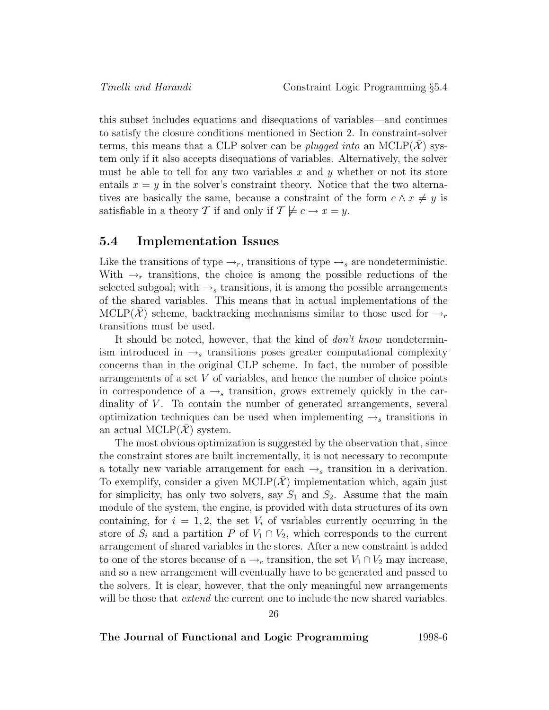this subset includes equations and disequations of variables—and continues to satisfy the closure conditions mentioned in Section 2. In constraint-solver terms, this means that a CLP solver can be *plugged into* an  $MCLP(\mathcal{X})$  system only if it also accepts disequations of variables. Alternatively, the solver must be able to tell for any two variables x and y whether or not its store entails  $x = y$  in the solver's constraint theory. Notice that the two alternatives are basically the same, because a constraint of the form  $c \wedge x \neq y$  is satisfiable in a theory T if and only if  $\mathcal{T} \not\models c \rightarrow x = y$ .

### **5.4 Implementation Issues**

Like the transitions of type  $\rightarrow_r$ , transitions of type  $\rightarrow_s$  are nondeterministic. With  $\rightarrow_r$  transitions, the choice is among the possible reductions of the selected subgoal; with  $\rightarrow$ <sub>s</sub> transitions, it is among the possible arrangements of the shared variables. This means that in actual implementations of the MCLP(X) scheme, backtracking mechanisms similar to those used for  $\rightarrow_r$ transitions must be used.

It should be noted, however, that the kind of *don't know* nondeterminism introduced in  $\rightarrow_s$  transitions poses greater computational complexity concerns than in the original CLP scheme. In fact, the number of possible arrangements of a set V of variables, and hence the number of choice points in correspondence of a  $\rightarrow$  transition, grows extremely quickly in the cardinality of  $V$ . To contain the number of generated arrangements, several optimization techniques can be used when implementing  $\rightarrow$  transitions in an actual MCLP $(\mathcal{X})$  system.

The most obvious optimization is suggested by the observation that, since the constraint stores are built incrementally, it is not necessary to recompute a totally new variable arrangement for each  $\rightarrow_s$  transition in a derivation. To exemplify, consider a given  $MCLP(\mathcal{X})$  implementation which, again just for simplicity, has only two solvers, say  $S_1$  and  $S_2$ . Assume that the main module of the system, the engine, is provided with data structures of its own containing, for  $i = 1, 2$ , the set  $V_i$  of variables currently occurring in the store of  $S_i$  and a partition P of  $V_1 \cap V_2$ , which corresponds to the current arrangement of shared variables in the stores. After a new constraint is added to one of the stores because of a  $\rightarrow_c$  transition, the set  $V_1 \cap V_2$  may increase, and so a new arrangement will eventually have to be generated and passed to the solvers. It is clear, however, that the only meaningful new arrangements will be those that *extend* the current one to include the new shared variables.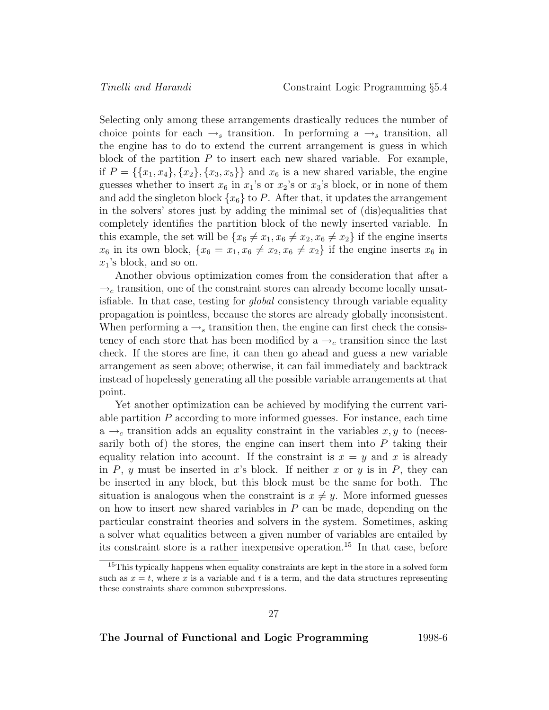Selecting only among these arrangements drastically reduces the number of choice points for each  $\rightarrow_s$  transition. In performing a  $\rightarrow_s$  transition, all the engine has to do to extend the current arrangement is guess in which block of the partition  $P$  to insert each new shared variable. For example, if  $P = \{\{x_1, x_4\}, \{x_2\}, \{x_3, x_5\}\}\$ and  $x_6$  is a new shared variable, the engine guesses whether to insert  $x_6$  in  $x_1$ 's or  $x_2$ 's or  $x_3$ 's block, or in none of them and add the singleton block  $\{x_6\}$  to P. After that, it updates the arrangement in the solvers' stores just by adding the minimal set of (dis)equalities that completely identifies the partition block of the newly inserted variable. In this example, the set will be  $\{x_6 \neq x_1, x_6 \neq x_2, x_6 \neq x_2\}$  if the engine inserts  $x_6$  in its own block,  $\{x_6 = x_1, x_6 \neq x_2, x_6 \neq x_2\}$  if the engine inserts  $x_6$  in  $x_1$ 's block, and so on.

Another obvious optimization comes from the consideration that after a  $\rightarrow_c$  transition, one of the constraint stores can already become locally unsatisfiable. In that case, testing for global consistency through variable equality propagation is pointless, because the stores are already globally inconsistent. When performing a  $\rightarrow$  transition then, the engine can first check the consistency of each store that has been modified by a  $\rightarrow_c$  transition since the last check. If the stores are fine, it can then go ahead and guess a new variable arrangement as seen above; otherwise, it can fail immediately and backtrack instead of hopelessly generating all the possible variable arrangements at that point.

Yet another optimization can be achieved by modifying the current variable partition  $P$  according to more informed guesses. For instance, each time  $a \rightarrow_c$  transition adds an equality constraint in the variables  $x, y$  to (necessarily both of) the stores, the engine can insert them into  $P$  taking their equality relation into account. If the constraint is  $x = y$  and x is already in P, y must be inserted in x's block. If neither x or y is in P, they can be inserted in any block, but this block must be the same for both. The situation is analogous when the constraint is  $x \neq y$ . More informed guesses on how to insert new shared variables in  $P$  can be made, depending on the particular constraint theories and solvers in the system. Sometimes, asking a solver what equalities between a given number of variables are entailed by its constraint store is a rather inexpensive operation.<sup>15</sup> In that case, before

<sup>&</sup>lt;sup>15</sup>This typically happens when equality constraints are kept in the store in a solved form such as  $x = t$ , where x is a variable and t is a term, and the data structures representing these constraints share common subexpressions.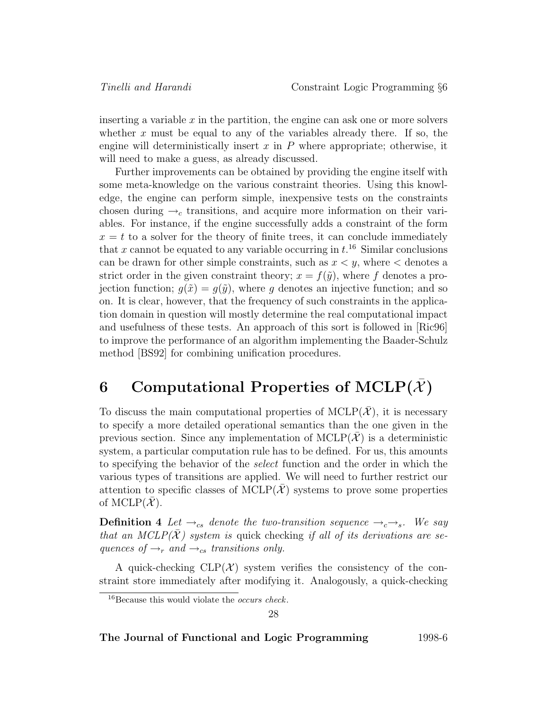inserting a variable  $x$  in the partition, the engine can ask one or more solvers whether  $x$  must be equal to any of the variables already there. If so, the engine will deterministically insert  $x$  in  $P$  where appropriate; otherwise, it will need to make a guess, as already discussed.

Further improvements can be obtained by providing the engine itself with some meta-knowledge on the various constraint theories. Using this knowledge, the engine can perform simple, inexpensive tests on the constraints chosen during  $\rightarrow_c$  transitions, and acquire more information on their variables. For instance, if the engine successfully adds a constraint of the form  $x = t$  to a solver for the theory of finite trees, it can conclude immediately that x cannot be equated to any variable occurring in  $t^{16}$ . Similar conclusions can be drawn for other simple constraints, such as  $x < y$ , where  $\lt$  denotes a strict order in the given constraint theory;  $x = f(\tilde{y})$ , where f denotes a projection function;  $g(\tilde{x}) = g(\tilde{y})$ , where g denotes an injective function; and so on. It is clear, however, that the frequency of such constraints in the application domain in question will mostly determine the real computational impact and usefulness of these tests. An approach of this sort is followed in [Ric96] to improve the performance of an algorithm implementing the Baader-Schulz method [BS92] for combining unification procedures.

# **6** Computational Properties of  $MCLP(\bar{X})$

To discuss the main computational properties of  $MCLP(\mathcal{X})$ , it is necessary to specify a more detailed operational semantics than the one given in the previous section. Since any implementation of  $MCLP(\mathcal{X})$  is a deterministic system, a particular computation rule has to be defined. For us, this amounts to specifying the behavior of the select function and the order in which the various types of transitions are applied. We will need to further restrict our attention to specific classes of  $MCLP(\mathcal{X})$  systems to prove some properties of MCLP $(\overline{\mathcal{X}})$ .

**Definition 4** Let  $\rightarrow_{cs}$  denote the two-transition sequence  $\rightarrow_{c} \rightarrow_{s}$ . We say that an MCLP( $\overline{X}$ ) system is quick checking if all of its derivations are sequences of  $\rightarrow_r$  and  $\rightarrow_{cs}$  transitions only.

A quick-checking  $CLP(\mathcal{X})$  system verifies the consistency of the constraint store immediately after modifying it. Analogously, a quick-checking

28

 $16$ Because this would violate the *occurs check*.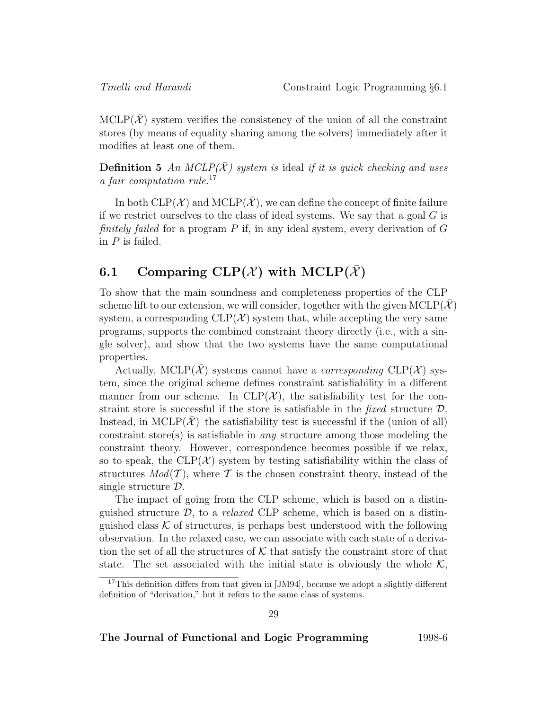$MCLP(X)$  system verifies the consistency of the union of all the constraint stores (by means of equality sharing among the solvers) immediately after it modifies at least one of them.

**Definition 5** An MCLP( $\overline{X}$ ) system is ideal if it is quick checking and uses a fair computation rule.<sup>17</sup>

In both  $CLP(\mathcal{X})$  and  $MCLP(\bar{\mathcal{X}})$ , we can define the concept of finite failure if we restrict ourselves to the class of ideal systems. We say that a goal  $G$  is finitely failed for a program  $P$  if, in any ideal system, every derivation of  $G$ in  $P$  is failed.

# **6.1** Comparing CLP( $X$ ) with MCLP( $\overline{X}$ )

To show that the main soundness and completeness properties of the CLP scheme lift to our extension, we will consider, together with the given  $MCLP(X)$ system, a corresponding  $CLP(\mathcal{X})$  system that, while accepting the very same programs, supports the combined constraint theory directly (i.e., with a single solver), and show that the two systems have the same computational properties.

Actually, MCLP( $\mathcal{X}$ ) systems cannot have a *corresponding* CLP( $\mathcal{X}$ ) system, since the original scheme defines constraint satisfiability in a different manner from our scheme. In CLP( $\mathcal{X}$ ), the satisfiability test for the constraint store is successful if the store is satisfiable in the fixed structure  $D$ . Instead, in MCLP( $\mathcal{X}$ ) the satisfiability test is successful if the (union of all) constraint store(s) is satisfiable in *any* structure among those modeling the constraint theory. However, correspondence becomes possible if we relax, so to speak, the  $CLP(\mathcal{X})$  system by testing satisfiability within the class of structures  $Mod(\mathcal{T})$ , where  $\mathcal T$  is the chosen constraint theory, instead of the single structure D.

The impact of going from the CLP scheme, which is based on a distinguished structure  $D$ , to a *relaxed* CLP scheme, which is based on a distinguished class  $K$  of structures, is perhaps best understood with the following observation. In the relaxed case, we can associate with each state of a derivation the set of all the structures of  $K$  that satisfy the constraint store of that state. The set associated with the initial state is obviously the whole  $\mathcal{K}$ ,

<sup>&</sup>lt;sup>17</sup>This definition differs from that given in [JM94], because we adopt a slightly different definition of "derivation," but it refers to the same class of systems.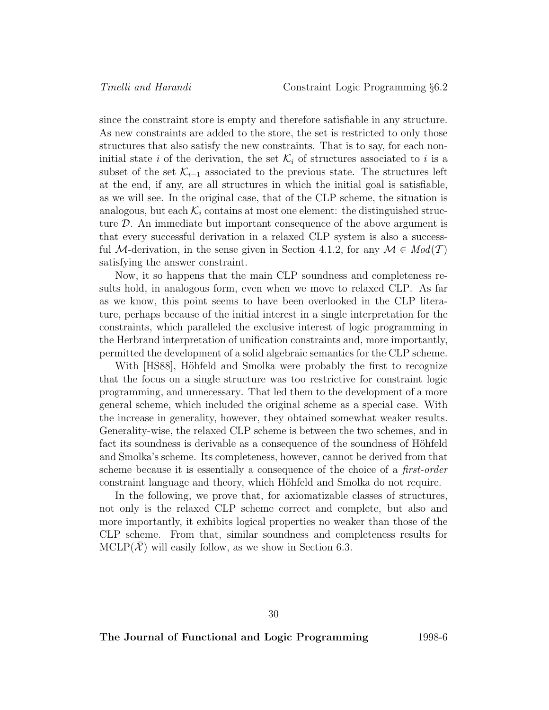since the constraint store is empty and therefore satisfiable in any structure. As new constraints are added to the store, the set is restricted to only those structures that also satisfy the new constraints. That is to say, for each noninitial state i of the derivation, the set  $\mathcal{K}_i$  of structures associated to i is a subset of the set  $\mathcal{K}_{i-1}$  associated to the previous state. The structures left at the end, if any, are all structures in which the initial goal is satisfiable, as we will see. In the original case, that of the CLP scheme, the situation is analogous, but each  $\mathcal{K}_i$  contains at most one element: the distinguished structure  $\mathcal{D}$ . An immediate but important consequence of the above argument is that every successful derivation in a relaxed CLP system is also a successful M-derivation, in the sense given in Section 4.1.2, for any  $\mathcal{M} \in Mod(T)$ satisfying the answer constraint.

Now, it so happens that the main CLP soundness and completeness results hold, in analogous form, even when we move to relaxed CLP. As far as we know, this point seems to have been overlooked in the CLP literature, perhaps because of the initial interest in a single interpretation for the constraints, which paralleled the exclusive interest of logic programming in the Herbrand interpretation of unification constraints and, more importantly, permitted the development of a solid algebraic semantics for the CLP scheme.

With [HS88], Höhfeld and Smolka were probably the first to recognize that the focus on a single structure was too restrictive for constraint logic programming, and unnecessary. That led them to the development of a more general scheme, which included the original scheme as a special case. With the increase in generality, however, they obtained somewhat weaker results. Generality-wise, the relaxed CLP scheme is between the two schemes, and in fact its soundness is derivable as a consequence of the soundness of Höhfeld and Smolka's scheme. Its completeness, however, cannot be derived from that scheme because it is essentially a consequence of the choice of a first-order constraint language and theory, which Höhfeld and Smolka do not require.

In the following, we prove that, for axiomatizable classes of structures, not only is the relaxed CLP scheme correct and complete, but also and more importantly, it exhibits logical properties no weaker than those of the CLP scheme. From that, similar soundness and completeness results for  $MCLP(X)$  will easily follow, as we show in Section 6.3.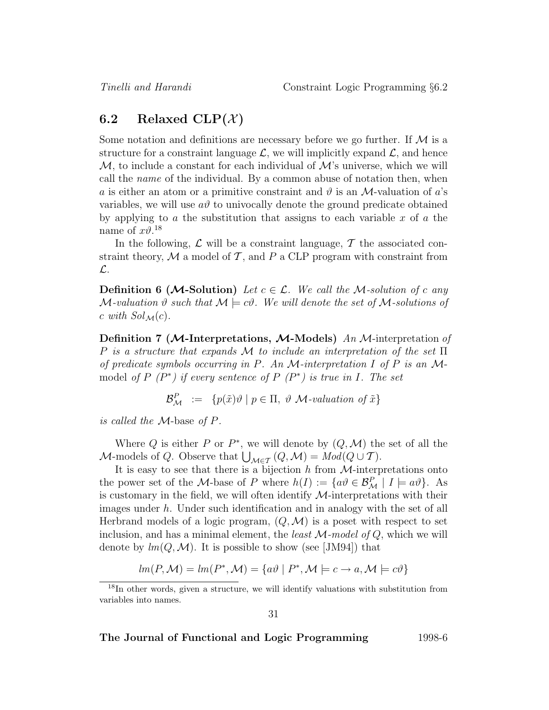### **6.2** Relaxed CLP $(\mathcal{X})$

Some notation and definitions are necessary before we go further. If  $\mathcal M$  is a structure for a constraint language  $\mathcal{L}$ , we will implicitly expand  $\mathcal{L}$ , and hence  $\mathcal{M}$ , to include a constant for each individual of  $\mathcal{M}$ 's universe, which we will call the name of the individual. By a common abuse of notation then, when a is either an atom or a primitive constraint and  $\vartheta$  is an M-valuation of a's variables, we will use  $a\vartheta$  to univocally denote the ground predicate obtained by applying to a the substitution that assigns to each variable  $x$  of  $a$  the name of  $x\vartheta$ <sup>18</sup>

In the following,  $\mathcal L$  will be a constraint language,  $\mathcal T$  the associated constraint theory,  $M$  a model of  $T$ , and  $P$  a CLP program with constraint from L.

**Definition 6 (***M***-Solution**) Let  $c \in \mathcal{L}$ . We call the *M*-solution of c any M-valuation  $\vartheta$  such that  $\mathcal{M} \models c\vartheta$ . We will denote the set of M-solutions of c with  $Sol_{\mathcal{M}}(c)$ .

**Definition 7 (***M***-Interpretations,** *M***-Models)** An M-interpretation of P is a structure that expands M to include an interpretation of the set  $\Pi$ of predicate symbols occurring in P. An  $\mathcal M$ -interpretation I of P is an  $\mathcal M$ model of  $P(P^*)$  if every sentence of  $P(P^*)$  is true in I. The set

$$
\mathcal{B}_{\mathcal{M}}^P := \{ p(\tilde{x})\vartheta \mid p \in \Pi, \vartheta \mathcal{M}\text{-valuation of }\tilde{x} \}
$$

is called the M-base of P.

Where Q is either P or  $P^*$ , we will denote by  $(Q, M)$  the set of all the M-models of Q. Observe that  $\bigcup_{\mathcal{M}\in\mathcal{T}}(Q,\mathcal{M})=Mod(Q\cup \mathcal{T})$ .

It is easy to see that there is a bijection  $h$  from  $\mathcal{M}$ -interpretations onto the power set of the *M*-base of *P* where  $h(I) := \{a\theta \in \mathcal{B}_{\mathcal{M}}^P \mid I \models a\theta\}$ . As is customary in the field, we will often identify  $M$ -interpretations with their images under h. Under such identification and in analogy with the set of all Herbrand models of a logic program,  $(Q, \mathcal{M})$  is a poset with respect to set inclusion, and has a minimal element, the *least*  $M$ -model of  $Q$ , which we will denote by  $lm(Q, \mathcal{M})$ . It is possible to show (see [JM94]) that

$$
lm(P, \mathcal{M}) = lm(P^*, \mathcal{M}) = \{a\vartheta \mid P^*, \mathcal{M} \models c \rightarrow a, \mathcal{M} \models c\vartheta\}
$$

<sup>&</sup>lt;sup>18</sup>In other words, given a structure, we will identify valuations with substitution from variables into names.

<sup>31</sup>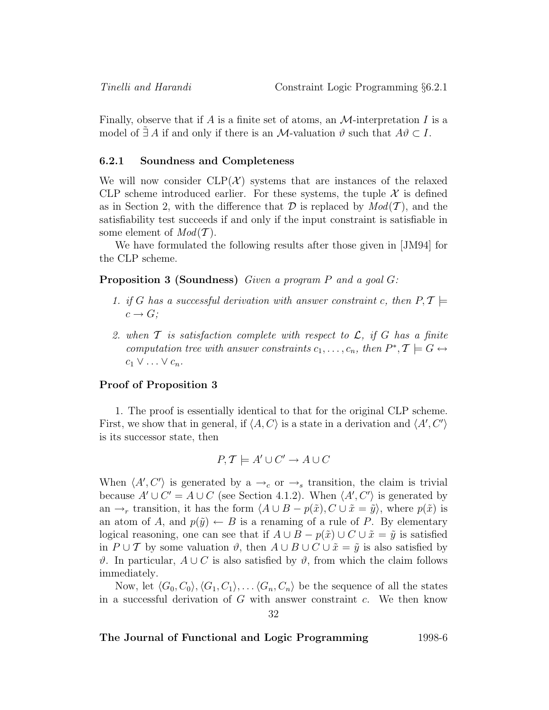Finally, observe that if A is a finite set of atoms, an  $\mathcal{M}$ -interpretation I is a model of  $\exists A$  if and only if there is an M-valuation  $\vartheta$  such that  $A\vartheta \subset I$ .

#### **6.2.1 Soundness and Completeness**

We will now consider  $CLP(\mathcal{X})$  systems that are instances of the relaxed CLP scheme introduced earlier. For these systems, the tuple  $\mathcal X$  is defined as in Section 2, with the difference that  $\mathcal D$  is replaced by  $Mod(\mathcal T)$ , and the satisfiability test succeeds if and only if the input constraint is satisfiable in some element of  $Mod(T)$ .

We have formulated the following results after those given in [JM94] for the CLP scheme.

**Proposition 3 (Soundness)** Given a program P and a goal G:

- 1. if G has a successful derivation with answer constraint c, then  $P, \mathcal{T} \models$  $c \rightarrow G$ ;
- 2. when  $\mathcal T$  is satisfaction complete with respect to  $\mathcal L$ , if  $G$  has a finite computation tree with answer constraints  $c_1,\ldots,c_n$ , then  $P^*,\mathcal{T} \models G \leftrightarrow$  $c_1 \vee \ldots \vee c_n$ .

#### **Proof of Proposition 3**

1. The proof is essentially identical to that for the original CLP scheme. First, we show that in general, if  $\langle A, C \rangle$  is a state in a derivation and  $\langle A', C' \rangle$ is its successor state, then

$$
P, T \models A' \cup C' \rightarrow A \cup C
$$

When  $\langle A', C' \rangle$  is generated by a  $\rightarrow_c$  or  $\rightarrow_s$  transition, the claim is trivial because  $A' \cup C' = A \cup C$  (see Section 4.1.2). When  $\langle A', C' \rangle$  is generated by an  $\rightarrow_r$  transition, it has the form  $\langle A \cup B - p(\tilde{x}), C \cup \tilde{x} = \tilde{y} \rangle$ , where  $p(\tilde{x})$  is an atom of A, and  $p(\tilde{y}) \leftarrow B$  is a renaming of a rule of P. By elementary logical reasoning, one can see that if  $A \cup B - p(\tilde{x}) \cup C \cup \tilde{x} = \tilde{y}$  is satisfied in  $P \cup T$  by some valuation  $\vartheta$ , then  $A \cup B \cup C \cup \tilde{x} = \tilde{y}$  is also satisfied by  $\vartheta$ . In particular,  $A ∪ C$  is also satisfied by  $\vartheta$ , from which the claim follows immediately.

Now, let  $\langle G_0, C_0 \rangle, \langle G_1, C_1 \rangle, \ldots, \langle G_n, C_n \rangle$  be the sequence of all the states in a successful derivation of  $G$  with answer constraint  $c$ . We then know 32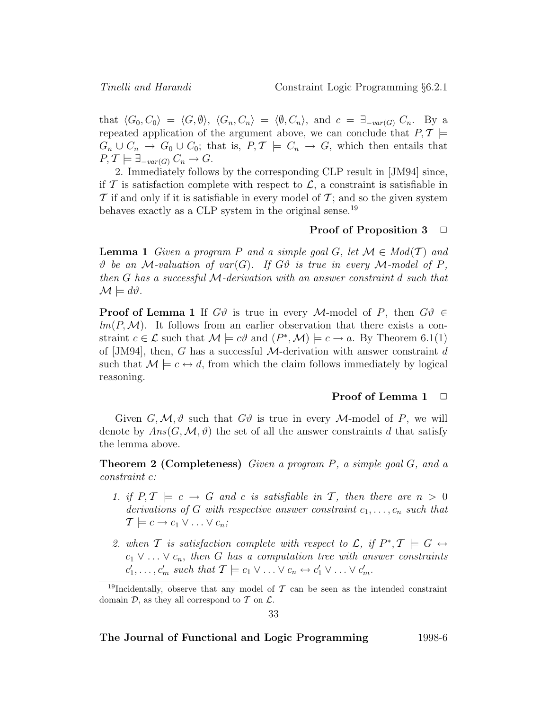that  $\langle G_0, C_0 \rangle = \langle G, \emptyset \rangle$ ,  $\langle G_n, C_n \rangle = \langle \emptyset, C_n \rangle$ , and  $c = \exists_{-var(G)} C_n$ . By a repeated application of the argument above, we can conclude that  $P, T \models$  $G_n \cup C_n \to G_0 \cup C_0$ ; that is,  $P, \mathcal{T} \models C_n \to G$ , which then entails that  $P, \mathcal{T} \models \exists_{-var(G)} C_n \rightarrow G.$ 

2. Immediately follows by the corresponding CLP result in [JM94] since, if T is satisfaction complete with respect to  $\mathcal{L}$ , a constraint is satisfiable in  $\mathcal T$  if and only if it is satisfiable in every model of  $\mathcal T$ ; and so the given system behaves exactly as a CLP system in the original sense.<sup>19</sup>

#### **Proof of Proposition 3** □

**Lemma 1** Given a program P and a simple goal G, let  $\mathcal{M} \in Mod(T)$  and  $\vartheta$  be an M-valuation of var(G). If G $\vartheta$  is true in every M-model of P, then G has a successful M-derivation with an answer constraint d such that  $\mathcal{M} \models d\vartheta.$ 

**Proof of Lemma 1** If  $G\vartheta$  is true in every M-model of P, then  $G\vartheta \in$  $lm(P,M)$ . It follows from an earlier observation that there exists a constraint  $c \in \mathcal{L}$  such that  $\mathcal{M} \models c\vartheta$  and  $(P^*, \mathcal{M}) \models c \rightarrow a$ . By Theorem 6.1(1) of [JM94], then, G has a successful  $\mathcal{M}$ -derivation with answer constraint d such that  $M \models c \leftrightarrow d$ , from which the claim follows immediately by logical reasoning.

#### **Proof of Lemma 1** □

Given  $G, M, \vartheta$  such that  $G\vartheta$  is true in every M-model of P, we will denote by  $Ans(G, \mathcal{M}, \vartheta)$  the set of all the answer constraints d that satisfy the lemma above.

**Theorem 2 (Completeness)** Given a program P, a simple goal G, and a constraint c:

- 1. if  $P, \mathcal{T} \models c \rightarrow G$  and c is satisfiable in  $\mathcal{T}$ , then there are  $n > 0$ derivations of G with respective answer constraint  $c_1, \ldots, c_n$  such that  $\mathcal{T} \models c \rightarrow c_1 \vee \ldots \vee c_n;$
- 2. when T is satisfaction complete with respect to L, if  $P^*, T \models G \leftrightarrow$  $c_1 \vee \ldots \vee c_n$ , then G has a computation tree with answer constraints  $c'_1, \ldots, c'_m$  such that  $\mathcal{T} \models c_1 \vee \ldots \vee c_n \leftrightarrow c'_1 \vee \ldots \vee c'_m$ .

<sup>&</sup>lt;sup>19</sup>Incidentally, observe that any model of  $\mathcal T$  can be seen as the intended constraint domain  $\mathcal{D}$ , as they all correspond to  $\mathcal T$  on  $\mathcal L$ .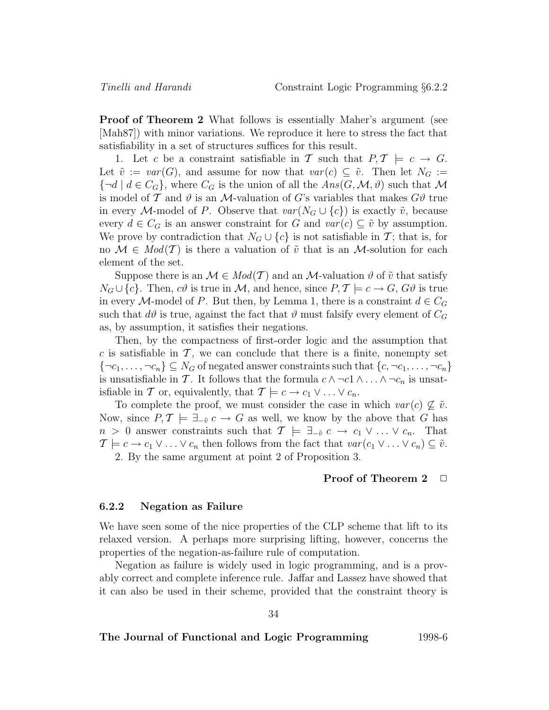**Proof of Theorem 2** What follows is essentially Maher's argument (see [Mah87]) with minor variations. We reproduce it here to stress the fact that satisfiability in a set of structures suffices for this result.

1. Let c be a constraint satisfiable in T such that  $P, \mathcal{T} \models c \rightarrow G$ . Let  $\tilde{v} := var(G)$ , and assume for now that  $var(c) \subseteq \tilde{v}$ . Then let  $N_G :=$  ${\lbrace \neg d \mid d \in C_G \rbrace}$ , where  $C_G$  is the union of all the  $Ans(G, \mathcal{M}, \vartheta)$  such that M is model of T and  $\vartheta$  is an M-valuation of G's variables that makes  $G\vartheta$  true in every M-model of P. Observe that  $var(N_G \cup \{c\})$  is exactly  $\tilde{v}$ , because every  $d \in C_G$  is an answer constraint for G and  $var(c) \subseteq \tilde{v}$  by assumption. We prove by contradiction that  $N_G \cup \{c\}$  is not satisfiable in T; that is, for no  $\mathcal{M} \in Mod(T)$  is there a valuation of  $\tilde{v}$  that is an M-solution for each element of the set.

Suppose there is an  $\mathcal{M} \in Mod(T)$  and an  $\mathcal{M}$ -valuation  $\vartheta$  of  $\tilde{v}$  that satisfy  $N_G \cup \{c\}$ . Then,  $c\vartheta$  is true in M, and hence, since  $P, \mathcal{T} \models c \rightarrow G, G\vartheta$  is true in every M-model of P. But then, by Lemma 1, there is a constraint  $d \in C_G$ such that  $d\vartheta$  is true, against the fact that  $\vartheta$  must falsify every element of  $C_G$ as, by assumption, it satisfies their negations.

Then, by the compactness of first-order logic and the assumption that c is satisfiable in  $\mathcal{T}$ , we can conclude that there is a finite, nonempty set  $\{\neg c_1,\ldots,\neg c_n\} \subseteq N_G$  of negated answer constraints such that  $\{c,\neg c_1,\ldots,\neg c_n\}$ is unsatisfiable in T. It follows that the formula  $c \wedge \neg c_1 \wedge \dots \wedge \neg c_n$  is unsatisfiable in T or, equivalently, that  $T \models c \rightarrow c_1 \vee \dots \vee c_n$ .

To complete the proof, we must consider the case in which  $var(c) \nsubseteq \tilde{v}$ . Now, since  $P, \mathcal{T} \models \exists_{-\tilde{v}} c \rightarrow G$  as well, we know by the above that G has  $n > 0$  answer constraints such that  $\mathcal{T} \models \exists_{-\tilde{v}} c \rightarrow c_1 \vee \ldots \vee c_n$ . That  $\mathcal{T} \models c \to c_1 \vee \ldots \vee c_n$  then follows from the fact that  $var(c_1 \vee \ldots \vee c_n) \subseteq \tilde{v}$ . 2. By the same argument at point 2 of Proposition 3.

#### **Proof of Theorem 2**  $\Box$

#### **6.2.2 Negation as Failure**

We have seen some of the nice properties of the CLP scheme that lift to its relaxed version. A perhaps more surprising lifting, however, concerns the properties of the negation-as-failure rule of computation.

Negation as failure is widely used in logic programming, and is a provably correct and complete inference rule. Jaffar and Lassez have showed that it can also be used in their scheme, provided that the constraint theory is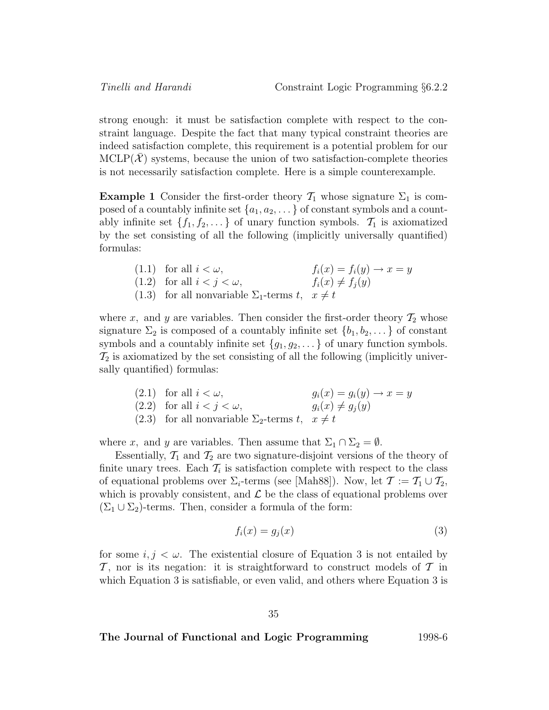strong enough: it must be satisfaction complete with respect to the constraint language. Despite the fact that many typical constraint theories are indeed satisfaction complete, this requirement is a potential problem for our  $MCLP(X)$  systems, because the union of two satisfaction-complete theories is not necessarily satisfaction complete. Here is a simple counterexample.

**Example 1** Consider the first-order theory  $\mathcal{T}_1$  whose signature  $\Sigma_1$  is composed of a countably infinite set  $\{a_1, a_2, \ldots\}$  of constant symbols and a countably infinite set  $\{f_1, f_2, \ldots\}$  of unary function symbols.  $\mathcal{T}_1$  is axiomatized by the set consisting of all the following (implicitly universally quantified) formulas:

> (1.1) for all  $i < \omega$ ,  $f_i(x) = f_i(y) \rightarrow x = y$ (1.2) for all  $i < j < \omega$ ,  $f_i(x) \neq f_j(y)$ (1.3) for all nonvariable  $\Sigma_1$ -terms  $t, x \neq t$

where x, and y are variables. Then consider the first-order theory  $\mathcal{T}_2$  whose signature  $\Sigma_2$  is composed of a countably infinite set  $\{b_1, b_2, \dots\}$  of constant symbols and a countably infinite set  $\{g_1, g_2, \dots\}$  of unary function symbols.  $\mathcal{T}_2$  is axiomatized by the set consisting of all the following (implicitly universally quantified) formulas:

> (2.1) for all  $i < \omega$ ,<br>
> (2.2) for all  $i < j < \omega$ ,<br>  $g_i(x) = g_i(y) \rightarrow x = y$ <br>  $g_i(x) \neq g_j(y)$ (2.2) for all  $i < j < \omega$ , (2.3) for all nonvariable  $\Sigma_2$ -terms  $t, x \neq t$

where x, and y are variables. Then assume that  $\Sigma_1 \cap \Sigma_2 = \emptyset$ .

Essentially,  $\mathcal{T}_1$  and  $\mathcal{T}_2$  are two signature-disjoint versions of the theory of finite unary trees. Each  $\mathcal{T}_i$  is satisfaction complete with respect to the class of equational problems over  $\Sigma_i$ -terms (see [Mah88]). Now, let  $\mathcal{T} := \mathcal{T}_1 \cup \mathcal{T}_2$ , which is provably consistent, and  $\mathcal L$  be the class of equational problems over  $(\Sigma_1 \cup \Sigma_2)$ -terms. Then, consider a formula of the form:

$$
f_i(x) = g_j(x) \tag{3}
$$

for some  $i, j < \omega$ . The existential closure of Equation 3 is not entailed by  $\mathcal T$ , nor is its negation: it is straightforward to construct models of  $\mathcal T$  in which Equation 3 is satisfiable, or even valid, and others where Equation 3 is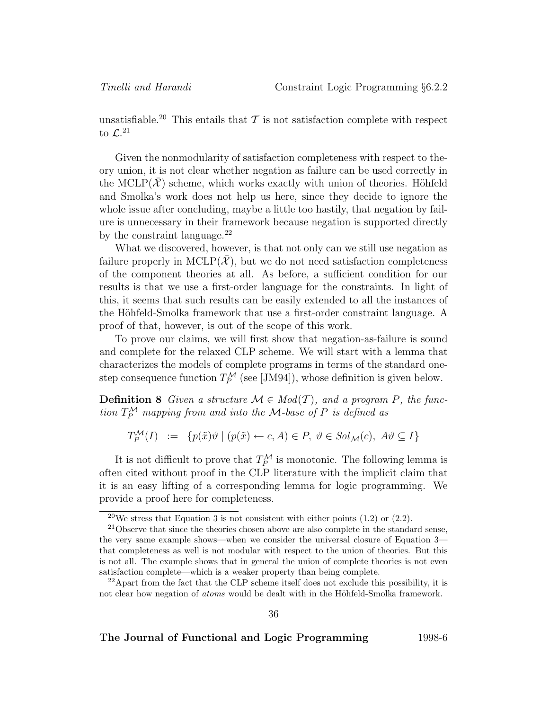unsatisfiable.<sup>20</sup> This entails that  $\mathcal T$  is not satisfaction complete with respect to  $\mathcal{L}^{.21}$ 

Given the nonmodularity of satisfaction completeness with respect to theory union, it is not clear whether negation as failure can be used correctly in the MCLP( $\mathcal{X}$ ) scheme, which works exactly with union of theories. Höhfeld and Smolka's work does not help us here, since they decide to ignore the whole issue after concluding, maybe a little too hastily, that negation by failure is unnecessary in their framework because negation is supported directly by the constraint language. $^{22}$ 

What we discovered, however, is that not only can we still use negation as failure properly in  $MCLP(\mathcal{X})$ , but we do not need satisfaction completeness of the component theories at all. As before, a sufficient condition for our results is that we use a first-order language for the constraints. In light of this, it seems that such results can be easily extended to all the instances of the Höhfeld-Smolka framework that use a first-order constraint language. A proof of that, however, is out of the scope of this work.

To prove our claims, we will first show that negation-as-failure is sound and complete for the relaxed CLP scheme. We will start with a lemma that characterizes the models of complete programs in terms of the standard onestep consequence function  $T_P^{\mathcal{M}}$  (see [JM94]), whose definition is given below.

**Definition 8** Given a structure  $\mathcal{M} \in Mod(T)$ , and a program P, the function  $T_P^{\mathcal{M}}$  mapping from and into the M-base of P is defined as

$$
T_P^{\mathcal{M}}(I) := \{ p(\tilde{x})\vartheta \mid (p(\tilde{x}) \leftarrow c, A) \in P, \ \vartheta \in Sol_{\mathcal{M}}(c), \ A\vartheta \subseteq I \}
$$

It is not difficult to prove that  $T_P^{\mathcal{M}}$  is monotonic. The following lemma is often cited without proof in the CLP literature with the implicit claim that it is an easy lifting of a corresponding lemma for logic programming. We provide a proof here for completeness.

36

<sup>&</sup>lt;sup>20</sup>We stress that Equation 3 is not consistent with either points  $(1.2)$  or  $(2.2)$ .

 $21$ Observe that since the theories chosen above are also complete in the standard sense, the very same example shows—when we consider the universal closure of Equation 3 that completeness as well is not modular with respect to the union of theories. But this is not all. The example shows that in general the union of complete theories is not even satisfaction complete—which is a weaker property than being complete.

 $^{22}$ Apart from the fact that the CLP scheme itself does not exclude this possibility, it is not clear how negation of *atoms* would be dealt with in the Höhfeld-Smolka framework.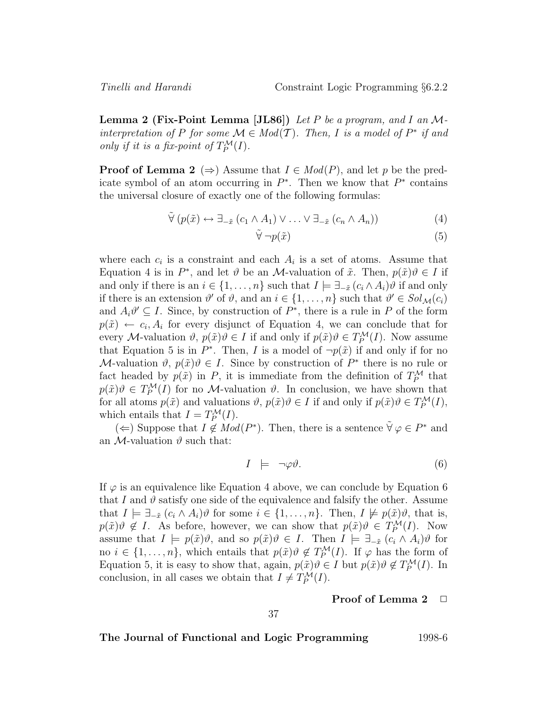**Lemma 2 (Fix-Point Lemma [JL86])** Let P be a program, and I an Minterpretation of P for some  $\mathcal{M} \in Mod(T)$ . Then, I is a model of  $P^*$  if and only if it is a fix-point of  $T_P^{\mathcal{M}}(I)$ .

**Proof of Lemma 2** ( $\Rightarrow$ ) Assume that  $I \in Mod(P)$ , and let p be the predicate symbol of an atom occurring in  $P^*$ . Then we know that  $P^*$  contains the universal closure of exactly one of the following formulas:

$$
\tilde{\forall} (p(\tilde{x}) \leftrightarrow \exists_{-\tilde{x}} (c_1 \wedge A_1) \vee \ldots \vee \exists_{-\tilde{x}} (c_n \wedge A_n))
$$
(4)

$$
\tilde{\forall} \neg p(\tilde{x}) \tag{5}
$$

where each  $c_i$  is a constraint and each  $A_i$  is a set of atoms. Assume that Equation 4 is in  $P^*$ , and let  $\vartheta$  be an M-valuation of  $\tilde{x}$ . Then,  $p(\tilde{x})\vartheta \in I$  if and only if there is an  $i \in \{1, \ldots, n\}$  such that  $I \models \exists_{-\tilde{x}} (c_i \land A_i) \vartheta$  if and only if there is an extension  $\vartheta'$  of  $\vartheta$ , and an  $i \in \{1, \ldots, n\}$  such that  $\vartheta' \in Sol_{\mathcal{M}}(c_i)$ and  $A_i \vartheta' \subseteq I$ . Since, by construction of  $P^*$ , there is a rule in P of the form  $p(\tilde{x}) \leftarrow c_i, A_i$  for every disjunct of Equation 4, we can conclude that for every M-valuation  $\vartheta$ ,  $p(\tilde{x})\vartheta \in I$  if and only if  $p(\tilde{x})\vartheta \in T_P^{\mathcal{M}}(I)$ . Now assume that Equation 5 is in  $P^*$ . Then, I is a model of  $\neg p(\tilde{x})$  if and only if for no M-valuation  $\vartheta$ ,  $p(\tilde{x})\vartheta \in I$ . Since by construction of  $P^*$  there is no rule or fact headed by  $p(\tilde{x})$  in P, it is immediate from the definition of  $T_P^{\mathcal{M}}$  that  $p(\tilde{x})\theta \in T_P^{\mathcal{M}}(I)$  for no M-valuation  $\vartheta$ . In conclusion, we have shown that for all atoms  $p(\tilde{x})$  and valuations  $\vartheta$ ,  $p(\tilde{x})\vartheta \in I$  if and only if  $p(\tilde{x})\vartheta \in T_P^{\mathcal{M}}(I)$ , which entails that  $I = T_P^{\mathcal{M}}(I)$ .

(←) Suppose that  $I \notin Mod(P^*)$ . Then, there is a sentence  $\tilde{\forall} \varphi \in P^*$  and an M-valuation  $\vartheta$  such that:

$$
I \models \neg \varphi \vartheta. \tag{6}
$$

If  $\varphi$  is an equivalence like Equation 4 above, we can conclude by Equation 6 that I and  $\vartheta$  satisfy one side of the equivalence and falsify the other. Assume that  $I \models \exists_{-\tilde{x}} (c_i \wedge A_i) \vartheta$  for some  $i \in \{1, \ldots, n\}$ . Then,  $I \not\models p(\tilde{x}) \vartheta$ , that is,  $p(\tilde{x})\theta \notin I$ . As before, however, we can show that  $p(\tilde{x})\theta \in T_P^{\mathcal{M}}(I)$ . Now assume that  $I \models p(\tilde{x})\vartheta$ , and so  $p(\tilde{x})\vartheta \in I$ . Then  $I \models \exists_{-\tilde{x}} (c_i \wedge A_i)\vartheta$  for no  $i \in \{1, \ldots, n\}$ , which entails that  $p(\tilde{x})\theta \notin T_P^{\mathcal{M}}(I)$ . If  $\varphi$  has the form of Equation 5, it is easy to show that, again,  $p(\tilde{x})\theta \in I$  but  $p(\tilde{x})\theta \notin T_P^{\mathcal{M}}(I)$ . In conclusion, in all cases we obtain that  $I \neq T_P^{\mathcal{M}}(I)$ .

#### **Proof of Lemma 2**  $\Box$

#### 37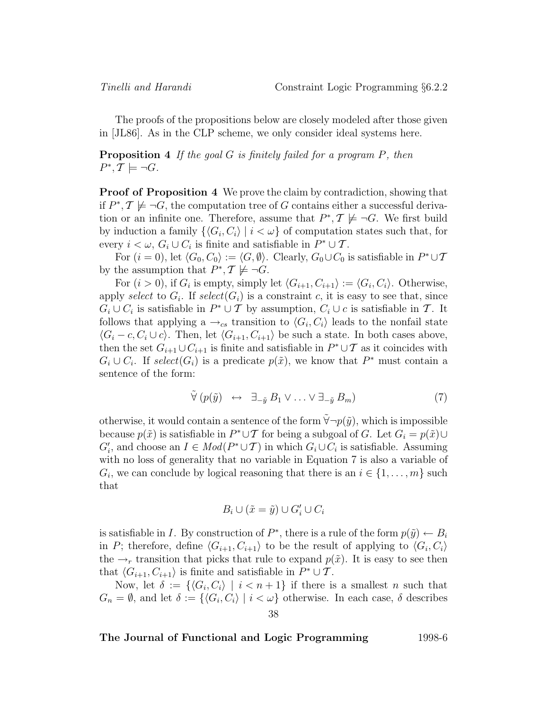The proofs of the propositions below are closely modeled after those given in [JL86]. As in the CLP scheme, we only consider ideal systems here.

**Proposition 4** If the goal G is finitely failed for a program P, then  $P^*, \mathcal{T} \models \neg G$ .

**Proof of Proposition 4** We prove the claim by contradiction, showing that if  $P^*, \mathcal{T} \not\models \neg G$ , the computation tree of G contains either a successful derivation or an infinite one. Therefore, assume that  $P^*, \mathcal{T} \not\models \neg G$ . We first build by induction a family  $\{G_i, C_i\}$  |  $i < \omega$ } of computation states such that, for every  $i < \omega$ ,  $G_i \cup C_i$  is finite and satisfiable in  $P^* \cup \mathcal{T}$ .

For  $(i = 0)$ , let  $\langle G_0, C_0 \rangle := \langle G, \emptyset \rangle$ . Clearly,  $G_0 \cup C_0$  is satisfiable in  $P^* \cup \mathcal{T}$ by the assumption that  $P^*, \mathcal{T} \not\models \neg G$ .

For  $(i > 0)$ , if  $G_i$  is empty, simply let  $\langle G_{i+1}, C_{i+1} \rangle := \langle G_i, C_i \rangle$ . Otherwise, apply select to  $G_i$ . If select  $(G_i)$  is a constraint c, it is easy to see that, since  $G_i \cup C_i$  is satisfiable in  $P^* \cup T$  by assumption,  $C_i \cup c$  is satisfiable in T. It follows that applying a  $\rightarrow_{cs}$  transition to  $\langle G_i, C_i \rangle$  leads to the nonfail state  $\langle G_i - c, C_i \cup c \rangle$ . Then, let  $\langle G_{i+1}, C_{i+1} \rangle$  be such a state. In both cases above, then the set  $G_{i+1} \cup C_{i+1}$  is finite and satisfiable in  $P^* \cup T$  as it coincides with  $G_i \cup C_i$ . If select $(G_i)$  is a predicate  $p(\tilde{x})$ , we know that P<sup>\*</sup> must contain a sentence of the form:

$$
\tilde{\forall} (p(\tilde{y}) \leftrightarrow \exists_{-\tilde{y}} B_1 \vee \ldots \vee \exists_{-\tilde{y}} B_m)
$$
\n
$$
(7)
$$

otherwise, it would contain a sentence of the form  $\tilde{\forall} \neg p(\tilde{y})$ , which is impossible because  $p(\tilde{x})$  is satisfiable in  $P^* \cup T$  for being a subgoal of G. Let  $G_i = p(\tilde{x}) \cup$  $G'_{i}$ , and choose an  $I \in Mod(P^* \cup \mathcal{T})$  in which  $G_i \cup C_i$  is satisfiable. Assuming with no loss of generality that no variable in Equation 7 is also a variable of  $G_i$ , we can conclude by logical reasoning that there is an  $i \in \{1, \ldots, m\}$  such that

$$
B_i \cup (\tilde{x} = \tilde{y}) \cup G'_i \cup C_i
$$

is satisfiable in I. By construction of  $P^*$ , there is a rule of the form  $p(\tilde{y}) \leftarrow B_i$ in P; therefore, define  $\langle G_{i+1}, C_{i+1} \rangle$  to be the result of applying to  $\langle G_i, C_i \rangle$ the  $\rightarrow_r$  transition that picks that rule to expand  $p(\tilde{x})$ . It is easy to see then that  $\langle G_{i+1}, C_{i+1} \rangle$  is finite and satisfiable in  $P^* \cup \mathcal{T}$ .

Now, let  $\delta := \{ \langle G_i, C_i \rangle \mid i < n + 1 \}$  if there is a smallest n such that  $G_n = \emptyset$ , and let  $\delta := \{ \langle G_i, C_i \rangle | i < \omega \}$  otherwise. In each case,  $\delta$  describes 38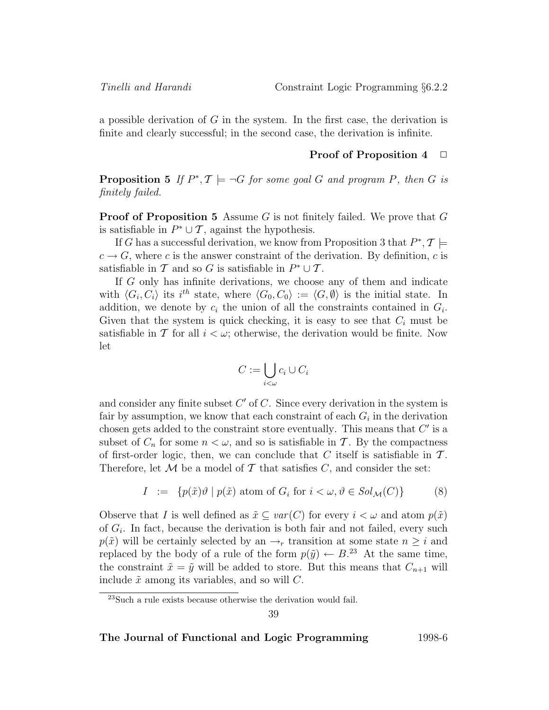a possible derivation of  $G$  in the system. In the first case, the derivation is finite and clearly successful; in the second case, the derivation is infinite.

#### **Proof of Proposition 4**  $\Box$

**Proposition 5** If  $P^*, T \models \neg G$  for some goal G and program P, then G is finitely failed.

**Proof of Proposition 5** Assume G is not finitely failed. We prove that G is satisfiable in  $P^* \cup \mathcal{T}$ , against the hypothesis.

If G has a successful derivation, we know from Proposition 3 that  $P^*, \mathcal{T} \models$  $c \to G$ , where c is the answer constraint of the derivation. By definition, c is satisfiable in T and so G is satisfiable in  $P^* \cup T$ .

If G only has infinite derivations, we choose any of them and indicate with  $\langle G_i, C_i \rangle$  its i<sup>th</sup> state, where  $\langle G_0, C_0 \rangle := \langle G, \emptyset \rangle$  is the initial state. In addition, we denote by  $c_i$  the union of all the constraints contained in  $G_i$ . Given that the system is quick checking, it is easy to see that  $C_i$  must be satisfiable in T for all  $i < \omega$ ; otherwise, the derivation would be finite. Now let

$$
C := \bigcup_{i < \omega} c_i \cup C_i
$$

and consider any finite subset  $C'$  of C. Since every derivation in the system is fair by assumption, we know that each constraint of each  $G_i$  in the derivation chosen gets added to the constraint store eventually. This means that  $C'$  is a subset of  $C_n$  for some  $n < \omega$ , and so is satisfiable in T. By the compactness of first-order logic, then, we can conclude that C itself is satisfiable in  $\mathcal T$ . Therefore, let  $M$  be a model of  $T$  that satisfies  $C$ , and consider the set:

$$
I := \{ p(\tilde{x})\vartheta \mid p(\tilde{x}) \text{ atom of } G_i \text{ for } i < \omega, \vartheta \in Sol_{\mathcal{M}}(C) \}
$$
(8)

Observe that I is well defined as  $\tilde{x} \subseteq var(C)$  for every  $i < \omega$  and atom  $p(\tilde{x})$ of  $G_i$ . In fact, because the derivation is both fair and not failed, every such  $p(\tilde{x})$  will be certainly selected by an  $\rightarrow_r$  transition at some state  $n > i$  and replaced by the body of a rule of the form  $p(\tilde{y}) \leftarrow B$ <sup>23</sup> At the same time, the constraint  $\tilde{x} = \tilde{y}$  will be added to store. But this means that  $C_{n+1}$  will include  $\tilde{x}$  among its variables, and so will C.

<sup>23</sup>Such a rule exists because otherwise the derivation would fail.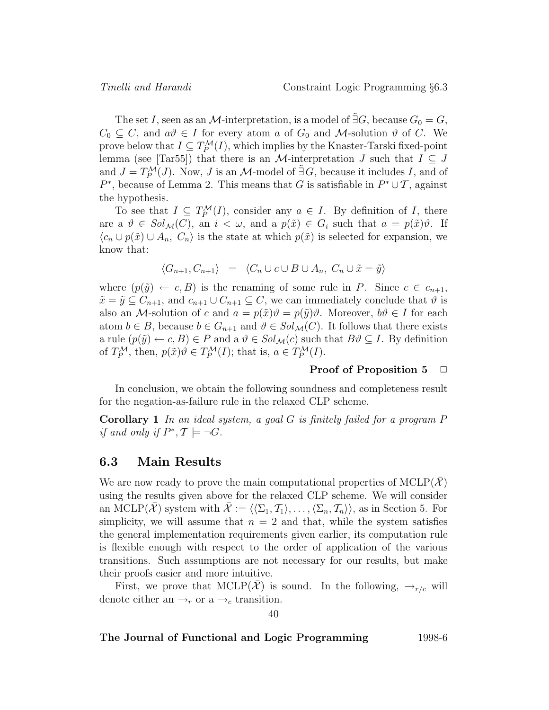The set I, seen as an M-interpretation, is a model of  $\tilde{\exists} G$ , because  $G_0 = G$ ,  $C_0 \subseteq C$ , and  $a\vartheta \in I$  for every atom a of  $G_0$  and M-solution  $\vartheta$  of C. We prove below that  $I \subseteq T_P^{\mathcal{M}}(I)$ , which implies by the Knaster-Tarski fixed-point lemma (see [Tar55]) that there is an M-interpretation J such that  $I \subseteq J$ and  $J = T_P^{\mathcal{M}}(J)$ . Now, J is an M-model of  $\tilde{\exists} G$ , because it includes I, and of  $P^*$ , because of Lemma 2. This means that G is satisfiable in  $P^* \cup \mathcal{T}$ , against the hypothesis.

To see that  $I \subseteq T_P^{\mathcal{M}}(I)$ , consider any  $a \in I$ . By definition of I, there are a  $\vartheta \in Sol_{\mathcal{M}}(C)$ , an  $i < \omega$ , and a  $p(\tilde{x}) \in G_i$  such that  $a = p(\tilde{x})\vartheta$ . If  $\langle c_n \cup p(\tilde{x}) \cup A_n, C_n \rangle$  is the state at which  $p(\tilde{x})$  is selected for expansion, we know that:

$$
\langle G_{n+1}, C_{n+1} \rangle = \langle C_n \cup c \cup B \cup A_n, C_n \cup \tilde{x} = \tilde{y} \rangle
$$

where  $(p(\tilde{y}) \leftarrow c, B)$  is the renaming of some rule in P. Since  $c \in c_{n+1}$ ,  $\tilde{x} = \tilde{y} \subseteq C_{n+1}$ , and  $c_{n+1} \cup C_{n+1} \subseteq C$ , we can immediately conclude that  $\vartheta$  is also an M-solution of c and  $a = p(\tilde{x})\theta = p(\tilde{y})\theta$ . Moreover,  $b\theta \in I$  for each atom  $b \in B$ , because  $b \in G_{n+1}$  and  $\vartheta \in Sol_{\mathcal{M}}(C)$ . It follows that there exists a rule  $(p(\tilde{y}) \leftarrow c, B) \in P$  and a  $\vartheta \in Sol_{\mathcal{M}}(c)$  such that  $B\vartheta \subseteq I$ . By definition of  $T_P^{\mathcal{M}}$ , then,  $p(\tilde{x})\theta \in T_P^{\mathcal{M}}(I)$ ; that is,  $a \in T_P^{\mathcal{M}}(I)$ .

#### **Proof of Proposition 5** □

In conclusion, we obtain the following soundness and completeness result for the negation-as-failure rule in the relaxed CLP scheme.

**Corollary 1** In an ideal system, a goal G is finitely failed for a program P if and only if  $P^*, \mathcal{T} \models \neg G$ .

### **6.3 Main Results**

We are now ready to prove the main computational properties of  $MCLP(X)$ using the results given above for the relaxed CLP scheme. We will consider an MCLP( $\overline{\mathcal{X}}$ ) system with  $\overline{\mathcal{X}} := \langle \langle \Sigma_1, \mathcal{T}_1 \rangle, \ldots, \langle \Sigma_n, \mathcal{T}_n \rangle \rangle$ , as in Section 5. For simplicity, we will assume that  $n = 2$  and that, while the system satisfies the general implementation requirements given earlier, its computation rule is flexible enough with respect to the order of application of the various transitions. Such assumptions are not necessary for our results, but make their proofs easier and more intuitive.

First, we prove that MCLP(X) is sound. In the following,  $\rightarrow_{r/c}$  will denote either an  $\rightarrow_r$  or a  $\rightarrow_c$  transition.

40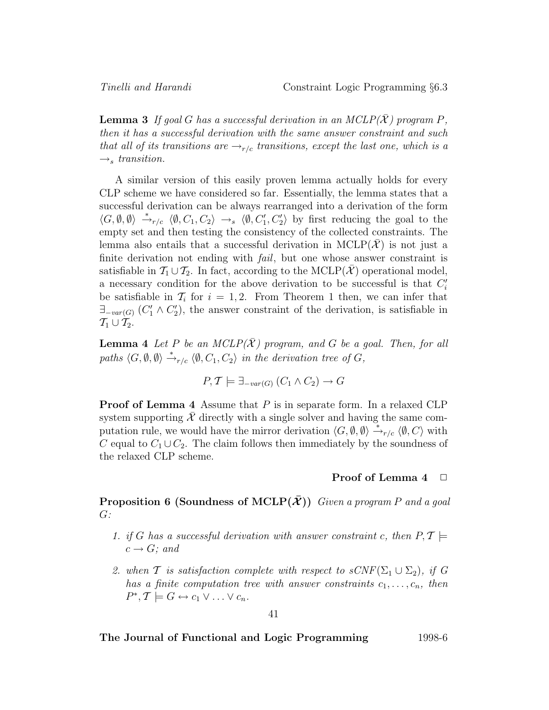**Lemma 3** If goal G has a successful derivation in an  $MCLP(\overline{X})$  program P, then it has a successful derivation with the same answer constraint and such that all of its transitions are  $\rightarrow_{r/c}$  transitions, except the last one, which is a  $\rightarrow_s$  transition.

A similar version of this easily proven lemma actually holds for every CLP scheme we have considered so far. Essentially, the lemma states that a successful derivation can be always rearranged into a derivation of the form  $\langle G,\emptyset,\emptyset\rangle \stackrel{*}{\rightarrow}_{r/c} \langle \emptyset, C_1, C_2\rangle \rightarrow_s \langle \emptyset, C'_1, C'_2\rangle$  by first reducing the goal to the empty set and then testing the consistency of the collected constraints. The lemma also entails that a successful derivation in  $MCLP(\mathcal{X})$  is not just a finite derivation not ending with *fail*, but one whose answer constraint is satisfiable in  $\mathcal{T}_1 \cup \mathcal{T}_2$ . In fact, according to the MCLP( $\overline{\mathcal{X}}$ ) operational model, a necessary condition for the above derivation to be successful is that  $C_i'$ be satisfiable in  $\mathcal{T}_i$  for  $i = 1, 2$ . From Theorem 1 then, we can infer that  $\exists_{\textit{var}(G)} (C'_1 \land C'_2)$ , the answer constraint of the derivation, is satisfiable in  $\mathcal{T}_1 \cup \mathcal{T}_2$ .

**Lemma 4** Let P be an  $MCLP(X)$  program, and G be a goal. Then, for all paths  $\langle G, \emptyset, \emptyset \rangle \stackrel{*}{\rightarrow}_{r/c} \langle \emptyset, C_1, C_2 \rangle$  in the derivation tree of G,

$$
P, \mathcal{T} \models \exists_{-var(G)} (C_1 \land C_2) \rightarrow G
$$

**Proof of Lemma 4** Assume that P is in separate form. In a relaxed CLP system supporting  $X$  directly with a single solver and having the same computation rule, we would have the mirror derivation  $\langle G, \emptyset, \emptyset \rangle \stackrel{*}{\rightarrow}_{r/c} \langle \emptyset, C \rangle$  with C equal to  $C_1 \cup C_2$ . The claim follows then immediately by the soundness of the relaxed CLP scheme.

#### **Proof of Lemma 4**  $\Box$

**Proposition 6 (Soundness of MCLP** $(\bar{\mathbf{X}})$ **)** Given a program P and a goal  $G$ :

- 1. if G has a successful derivation with answer constraint c, then  $P, \mathcal{T} \models$  $c \rightarrow G$ ; and
- 2. when T is satisfaction complete with respect to  $sCNF(\Sigma_1 \cup \Sigma_2)$ , if G has a finite computation tree with answer constraints  $c_1, \ldots, c_n$ , then  $P^*, \mathcal{T} \models G \leftrightarrow c_1 \vee \ldots \vee c_n.$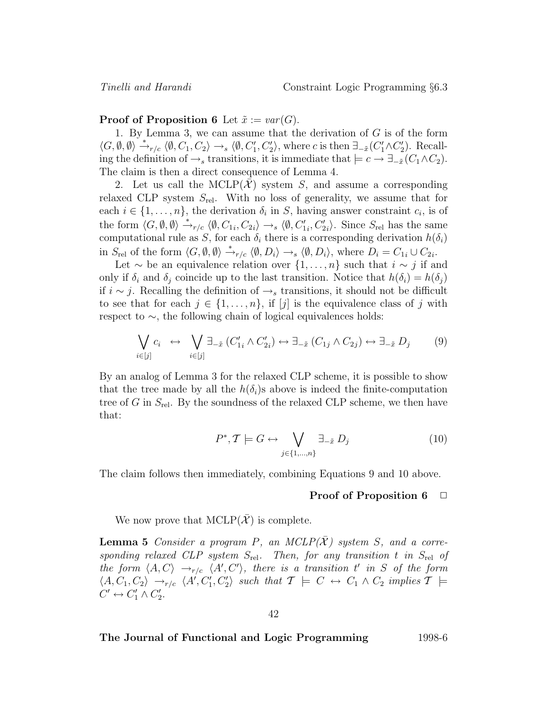#### **Proof of Proposition 6** Let  $\tilde{x} := var(G)$ .

1. By Lemma 3, we can assume that the derivation of  $G$  is of the form  $\langle G, \emptyset, \emptyset \rangle \stackrel{*}{\rightarrow}_{r/c} \langle \emptyset, C_1, C_2 \rangle \rightarrow_s \langle \emptyset, C_1', C_2' \rangle$ , where c is then  $\exists_{-\tilde{x}}(C_1' \wedge C_2')$ . Recalling the definition of  $\rightarrow$ <sub>s</sub> transitions, it is immediate that  $\models c \rightarrow \exists_{-\tilde{x}}(C_1 \wedge C_2)$ . The claim is then a direct consequence of Lemma 4.

2. Let us call the MCLP $(X)$  system S, and assume a corresponding relaxed CLP system  $S_{rel}$ . With no loss of generality, we assume that for each  $i \in \{1, \ldots, n\}$ , the derivation  $\delta_i$  in S, having answer constraint  $c_i$ , is of the form  $\langle G, \emptyset, \emptyset \rangle \stackrel{*}{\rightarrow}_{r/c} \langle \emptyset, C_{1i}, C_{2i} \rangle \rightarrow_s \langle \emptyset, C'_{1i}, C'_{2i} \rangle$ . Since  $S_{rel}$  has the same computational rule as S, for each  $\delta_i$  there is a corresponding derivation  $h(\delta_i)$ in  $S_{rel}$  of the form  $\langle G, \emptyset, \emptyset \rangle \stackrel{*}{\rightarrow}_{r/c} \langle \emptyset, D_i \rangle \rightarrow_s \langle \emptyset, D_i \rangle$ , where  $D_i = C_{1i} \cup C_{2i}$ .

Let  $\sim$  be an equivalence relation over  $\{1,\ldots,n\}$  such that  $i \sim j$  if and only if  $\delta_i$  and  $\delta_j$  coincide up to the last transition. Notice that  $h(\delta_i) = h(\delta_j)$ if  $i \sim j$ . Recalling the definition of  $\rightarrow_s$  transitions, it should not be difficult to see that for each  $j \in \{1, \ldots, n\}$ , if  $[j]$  is the equivalence class of j with respect to ∼, the following chain of logical equivalences holds:

$$
\bigvee_{i \in [j]} c_i \leftrightarrow \bigvee_{i \in [j]} \exists_{-\tilde{x}} (C'_{1i} \wedge C'_{2i}) \leftrightarrow \exists_{-\tilde{x}} (C_{1j} \wedge C_{2j}) \leftrightarrow \exists_{-\tilde{x}} D_j \qquad (9)
$$

By an analog of Lemma 3 for the relaxed CLP scheme, it is possible to show that the tree made by all the  $h(\delta_i)$ s above is indeed the finite-computation tree of G in  $S_{rel}$ . By the soundness of the relaxed CLP scheme, we then have that:

$$
P^*, \mathcal{T} \models G \leftrightarrow \bigvee_{j \in \{1, \dots, n\}} \exists_{-\tilde{x}} D_j \tag{10}
$$

The claim follows then immediately, combining Equations 9 and 10 above.

#### **Proof of Proposition 6**  $\Box$

We now prove that  $MCLP(\overline{\mathcal{X}})$  is complete.

**Lemma 5** Consider a program P, an  $MCLP(\overline{X})$  system S, and a corresponding relaxed CLP system  $S_{rel}$ . Then, for any transition t in  $S_{rel}$  of the form  $\langle A, C \rangle \rightarrow_{r/c} \langle A', C' \rangle$ , there is a transition t' in S of the form  $\langle A, C_1, C_2 \rangle \rightarrow_{r/c} \langle A', C'_1, C'_2 \rangle$  such that  $\mathcal{T} \models C \leftrightarrow C_1 \wedge C_2$  implies  $\mathcal{T} \models$  $C' \leftrightarrow C_1' \wedge C_2'.$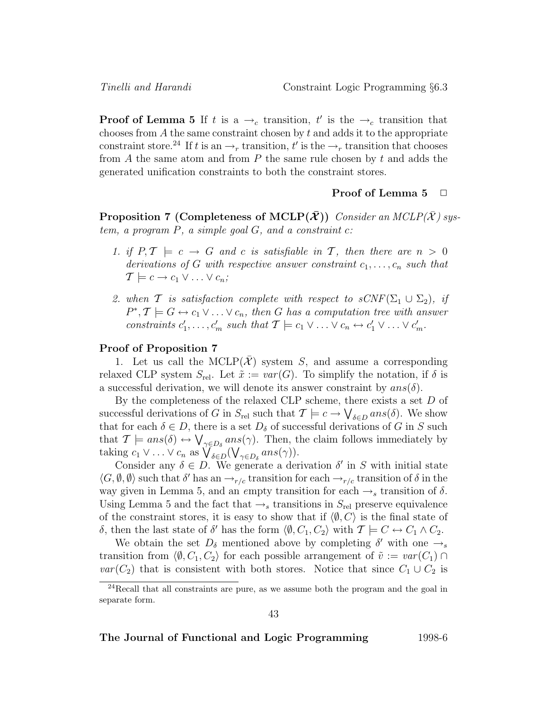**Proof of Lemma 5** If t is a  $\rightarrow_c$  transition, t' is the  $\rightarrow_c$  transition that chooses from  $A$  the same constraint chosen by  $t$  and adds it to the appropriate constraint store.<sup>24</sup> If t is an  $\rightarrow_r$  transition, t' is the  $\rightarrow_r$  transition that chooses from  $A$  the same atom and from  $P$  the same rule chosen by  $t$  and adds the generated unification constraints to both the constraint stores.

### **Proof of Lemma 5**  $\Box$

**Proposition 7 (Completeness of MCLP** $(\bar{\mathbf{X}})$ **)** Consider an MCLP $(\bar{\mathbf{X}})$  system, a program  $P$ , a simple goal  $G$ , and a constraint  $c$ :

- 1. if  $P, \mathcal{T} \models c \rightarrow G$  and c is satisfiable in T, then there are  $n > 0$ derivations of G with respective answer constraint  $c_1, \ldots, c_n$  such that  $\mathcal{T} \models c \rightarrow c_1 \vee \ldots \vee c_n;$
- 2. when T is satisfaction complete with respect to  $sCNF(\Sigma_1 \cup \Sigma_2)$ , if  $P^*, \mathcal{T} \models G \leftrightarrow c_1 \vee \ldots \vee c_n$ , then G has a computation tree with answer constraints  $c'_1, \ldots, c'_m$  such that  $\mathcal{T} \models c_1 \vee \ldots \vee c_n \leftrightarrow c'_1 \vee \ldots \vee c'_m$ .

#### **Proof of Proposition 7**

1. Let us call the MCLP( $\mathcal{X}$ ) system S, and assume a corresponding relaxed CLP system  $S_{rel}$ . Let  $\tilde{x} := var(G)$ . To simplify the notation, if  $\delta$  is a successful derivation, we will denote its answer constraint by  $ans(\delta)$ .

By the completeness of the relaxed CLP scheme, there exists a set D of successful derivations of G in  $S_{rel}$  such that  $\mathcal{T} \models c \to \bigvee_{\delta \in D} ans(\delta)$ . We show that for each  $\delta \in D$ , there is a set  $D_{\delta}$  of successful derivations of G in S such that  $\mathcal{T} \models ans(\delta) \leftrightarrow \bigvee_{\gamma \in D_{\delta}}ans(\gamma)$ . Then, the claim follows immediately by taking  $c_1 \vee \ldots \vee c_n$  as  $\bigvee_{\delta \in D} (\bigvee_{\gamma \in D_{\delta}} ans(\gamma)).$ 

Consider any  $\delta \in D$ . We generate a derivation  $\delta'$  in S with initial state  $\langle G, \emptyset, \emptyset \rangle$  such that  $\delta'$  has an  $\rightarrow_{r/c}$  transition for each  $\rightarrow_{r/c}$  transition of  $\delta$  in the way given in Lemma 5, and an empty transition for each  $\rightarrow_s$  transition of  $\delta$ . Using Lemma 5 and the fact that  $\rightarrow_s$  transitions in  $S_{rel}$  preserve equivalence of the constraint stores, it is easy to show that if  $\langle \emptyset, C \rangle$  is the final state of δ, then the last state of δ' has the form  $\langle \emptyset, C_1, C_2 \rangle$  with  $\mathcal{T} \models C \leftrightarrow C_1 \wedge C_2$ .

We obtain the set  $D_{\delta}$  mentioned above by completing  $\delta'$  with one  $\rightarrow_s$ transition from  $\langle \emptyset, C_1, C_2 \rangle$  for each possible arrangement of  $\tilde{v} := var(C_1) \cap$  $var(C_2)$  that is consistent with both stores. Notice that since  $C_1 \cup C_2$  is

 $^{24}$ Recall that all constraints are pure, as we assume both the program and the goal in separate form.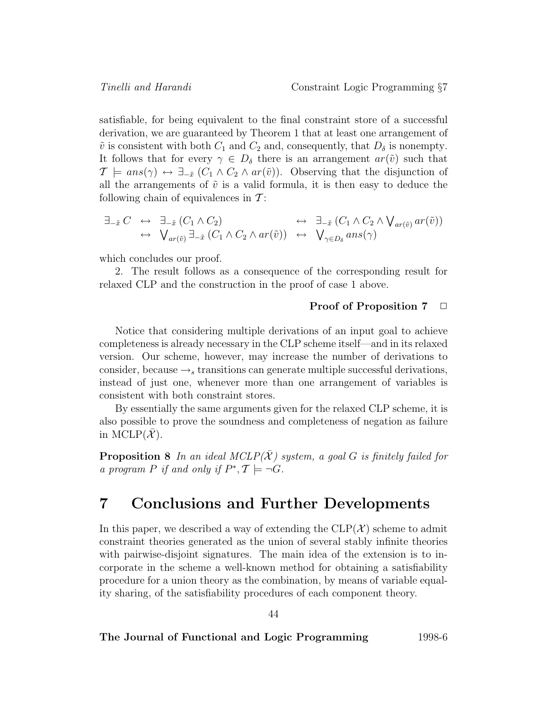satisfiable, for being equivalent to the final constraint store of a successful derivation, we are guaranteed by Theorem 1 that at least one arrangement of  $\tilde{v}$  is consistent with both  $C_1$  and  $C_2$  and, consequently, that  $D_{\delta}$  is nonempty. It follows that for every  $\gamma \in D_{\delta}$  there is an arrangement  $ar(\tilde{v})$  such that  $\mathcal{T} \models ans(\gamma) \leftrightarrow \exists_{-\tilde{x}}(C_1 \wedge C_2 \wedge ar(\tilde{v}))$ . Observing that the disjunction of all the arrangements of  $\tilde{v}$  is a valid formula, it is then easy to deduce the following chain of equivalences in  $\mathcal{T}$ :

$$
\exists_{-\tilde{x}} C \leftrightarrow \exists_{-\tilde{x}} (C_1 \wedge C_2) \leftrightarrow \exists_{-\tilde{x}} (C_1 \wedge C_2 \wedge \mathsf{V}_{ar(\tilde{v})} ar(\tilde{v})) \leftrightarrow \mathsf{V}_{ar(\tilde{v})} \exists_{-\tilde{x}} (C_1 \wedge C_2 \wedge ar(\tilde{v})) \leftrightarrow \mathsf{V}_{\gamma \in D_{\delta}} ans(\gamma)
$$

which concludes our proof.

2. The result follows as a consequence of the corresponding result for relaxed CLP and the construction in the proof of case 1 above.

#### **Proof of Proposition 7**  $\Box$

Notice that considering multiple derivations of an input goal to achieve completeness is already necessary in the CLP scheme itself—and in its relaxed version. Our scheme, however, may increase the number of derivations to consider, because  $\rightarrow$ <sub>s</sub> transitions can generate multiple successful derivations, instead of just one, whenever more than one arrangement of variables is consistent with both constraint stores.

By essentially the same arguments given for the relaxed CLP scheme, it is also possible to prove the soundness and completeness of negation as failure in MCLP $(\mathcal{X})$ .

**Proposition 8** In an ideal MCLP( $\bar{\mathcal{X}}$ ) system, a goal G is finitely failed for a program P if and only if  $P^*, \mathcal{T} \models \neg G$ .

# **7 Conclusions and Further Developments**

In this paper, we described a way of extending the  $CLP(\mathcal{X})$  scheme to admit constraint theories generated as the union of several stably infinite theories with pairwise-disjoint signatures. The main idea of the extension is to incorporate in the scheme a well-known method for obtaining a satisfiability procedure for a union theory as the combination, by means of variable equality sharing, of the satisfiability procedures of each component theory.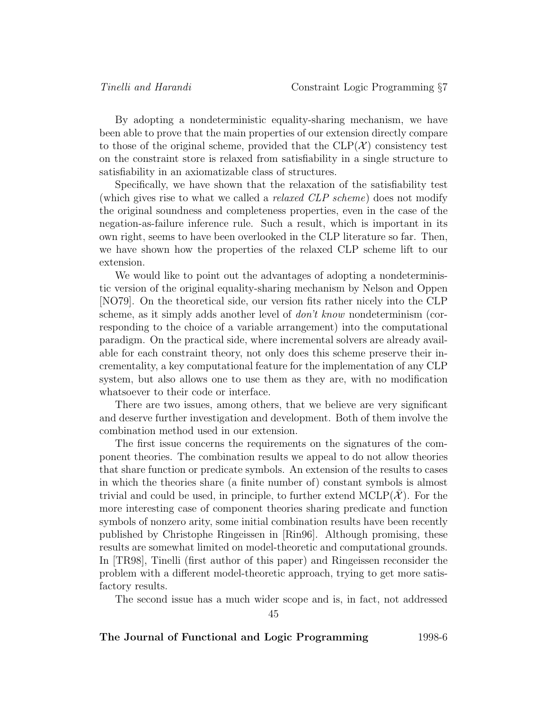By adopting a nondeterministic equality-sharing mechanism, we have been able to prove that the main properties of our extension directly compare to those of the original scheme, provided that the  $CLP(\mathcal{X})$  consistency test on the constraint store is relaxed from satisfiability in a single structure to satisfiability in an axiomatizable class of structures.

Specifically, we have shown that the relaxation of the satisfiability test (which gives rise to what we called a *relaxed CLP scheme*) does not modify the original soundness and completeness properties, even in the case of the negation-as-failure inference rule. Such a result, which is important in its own right, seems to have been overlooked in the CLP literature so far. Then, we have shown how the properties of the relaxed CLP scheme lift to our extension.

We would like to point out the advantages of adopting a nondeterministic version of the original equality-sharing mechanism by Nelson and Oppen [NO79]. On the theoretical side, our version fits rather nicely into the CLP scheme, as it simply adds another level of  $don't know$  nondeterminism (corresponding to the choice of a variable arrangement) into the computational paradigm. On the practical side, where incremental solvers are already available for each constraint theory, not only does this scheme preserve their incrementality, a key computational feature for the implementation of any CLP system, but also allows one to use them as they are, with no modification whatsoever to their code or interface.

There are two issues, among others, that we believe are very significant and deserve further investigation and development. Both of them involve the combination method used in our extension.

The first issue concerns the requirements on the signatures of the component theories. The combination results we appeal to do not allow theories that share function or predicate symbols. An extension of the results to cases in which the theories share (a finite number of) constant symbols is almost trivial and could be used, in principle, to further extend  $MCLP(\mathcal{X})$ . For the more interesting case of component theories sharing predicate and function symbols of nonzero arity, some initial combination results have been recently published by Christophe Ringeissen in [Rin96]. Although promising, these results are somewhat limited on model-theoretic and computational grounds. In [TR98], Tinelli (first author of this paper) and Ringeissen reconsider the problem with a different model-theoretic approach, trying to get more satisfactory results.

The second issue has a much wider scope and is, in fact, not addressed

45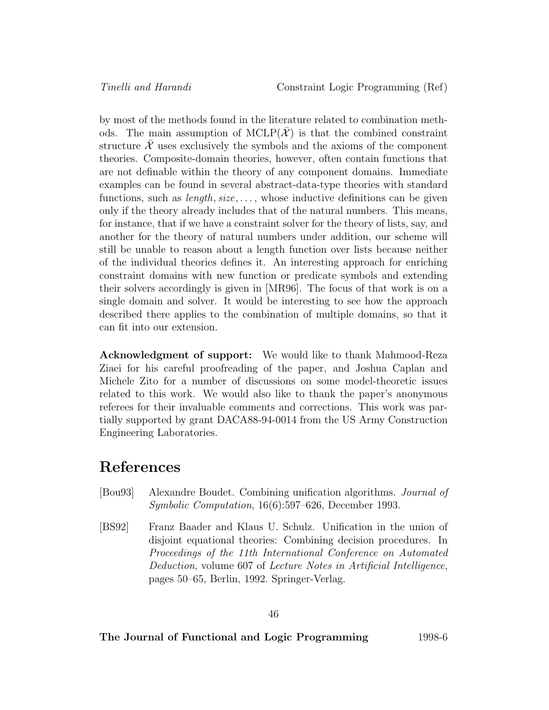by most of the methods found in the literature related to combination methods. The main assumption of  $MCLP(X)$  is that the combined constraint structure  $\mathcal X$  uses exclusively the symbols and the axioms of the component theories. Composite-domain theories, however, often contain functions that are not definable within the theory of any component domains. Immediate examples can be found in several abstract-data-type theories with standard functions, such as  $length, size, \ldots$ , whose inductive definitions can be given only if the theory already includes that of the natural numbers. This means, for instance, that if we have a constraint solver for the theory of lists, say, and another for the theory of natural numbers under addition, our scheme will still be unable to reason about a length function over lists because neither of the individual theories defines it. An interesting approach for enriching constraint domains with new function or predicate symbols and extending their solvers accordingly is given in [MR96]. The focus of that work is on a single domain and solver. It would be interesting to see how the approach described there applies to the combination of multiple domains, so that it can fit into our extension.

**Acknowledgment of support:** We would like to thank Mahmood-Reza Ziaei for his careful proofreading of the paper, and Joshua Caplan and Michele Zito for a number of discussions on some model-theoretic issues related to this work. We would also like to thank the paper's anonymous referees for their invaluable comments and corrections. This work was partially supported by grant DACA88-94-0014 from the US Army Construction Engineering Laboratories.

# **References**

- [Bou93] Alexandre Boudet. Combining unification algorithms. Journal of Symbolic Computation, 16(6):597–626, December 1993.
- [BS92] Franz Baader and Klaus U. Schulz. Unification in the union of disjoint equational theories: Combining decision procedures. In Proceedings of the 11th International Conference on Automated Deduction, volume 607 of Lecture Notes in Artificial Intelligence, pages 50–65, Berlin, 1992. Springer-Verlag.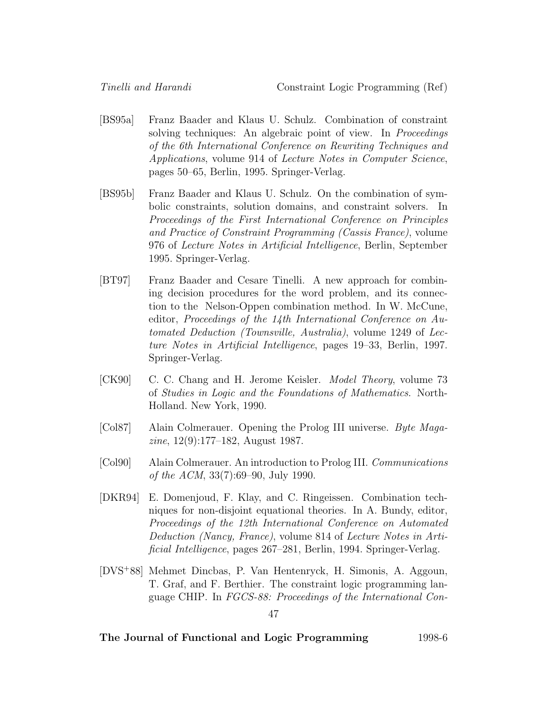- [BS95a] Franz Baader and Klaus U. Schulz. Combination of constraint solving techniques: An algebraic point of view. In *Proceedings* of the 6th International Conference on Rewriting Techniques and Applications, volume 914 of Lecture Notes in Computer Science, pages 50–65, Berlin, 1995. Springer-Verlag.
- [BS95b] Franz Baader and Klaus U. Schulz. On the combination of symbolic constraints, solution domains, and constraint solvers. In Proceedings of the First International Conference on Principles and Practice of Constraint Programming (Cassis France), volume 976 of Lecture Notes in Artificial Intelligence, Berlin, September 1995. Springer-Verlag.
- [BT97] Franz Baader and Cesare Tinelli. A new approach for combining decision procedures for the word problem, and its connection to the Nelson-Oppen combination method. In W. McCune, editor, Proceedings of the 14th International Conference on Automated Deduction (Townsville, Australia), volume 1249 of Lecture Notes in Artificial Intelligence, pages 19–33, Berlin, 1997. Springer-Verlag.
- [CK90] C. C. Chang and H. Jerome Keisler. Model Theory, volume 73 of Studies in Logic and the Foundations of Mathematics. North-Holland. New York, 1990.
- [Col87] Alain Colmerauer. Opening the Prolog III universe. Byte Magazine, 12(9):177–182, August 1987.
- [Col90] Alain Colmerauer. An introduction to Prolog III. Communications of the ACM, 33(7):69–90, July 1990.
- [DKR94] E. Domenjoud, F. Klay, and C. Ringeissen. Combination techniques for non-disjoint equational theories. In A. Bundy, editor, Proceedings of the 12th International Conference on Automated Deduction (Nancy, France), volume 814 of Lecture Notes in Artificial Intelligence, pages 267–281, Berlin, 1994. Springer-Verlag.
- [DVS<sup>+</sup>88] Mehmet Dincbas, P. Van Hentenryck, H. Simonis, A. Aggoun, T. Graf, and F. Berthier. The constraint logic programming language CHIP. In FGCS-88: Proceedings of the International Con-

<sup>47</sup>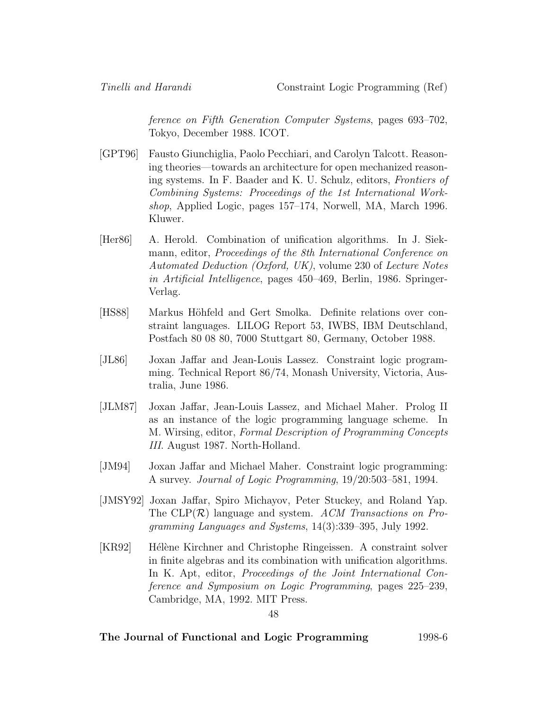ference on Fifth Generation Computer Systems, pages 693–702, Tokyo, December 1988. ICOT.

- [GPT96] Fausto Giunchiglia, Paolo Pecchiari, and Carolyn Talcott. Reasoning theories—towards an architecture for open mechanized reasoning systems. In F. Baader and K. U. Schulz, editors, Frontiers of Combining Systems: Proceedings of the 1st International Workshop, Applied Logic, pages 157–174, Norwell, MA, March 1996. Kluwer.
- [Her86] A. Herold. Combination of unification algorithms. In J. Siekmann, editor, Proceedings of the 8th International Conference on Automated Deduction (Oxford, UK), volume 230 of Lecture Notes in Artificial Intelligence, pages 450–469, Berlin, 1986. Springer-Verlag.
- [HS88] Markus Höhfeld and Gert Smolka. Definite relations over constraint languages. LILOG Report 53, IWBS, IBM Deutschland, Postfach 80 08 80, 7000 Stuttgart 80, Germany, October 1988.
- [JL86] Joxan Jaffar and Jean-Louis Lassez. Constraint logic programming. Technical Report 86/74, Monash University, Victoria, Australia, June 1986.
- [JLM87] Joxan Jaffar, Jean-Louis Lassez, and Michael Maher. Prolog II as an instance of the logic programming language scheme. In M. Wirsing, editor, Formal Description of Programming Concepts III. August 1987. North-Holland.
- [JM94] Joxan Jaffar and Michael Maher. Constraint logic programming: A survey. Journal of Logic Programming, 19/20:503–581, 1994.
- [JMSY92] Joxan Jaffar, Spiro Michayov, Peter Stuckey, and Roland Yap. The  $CLP(\mathcal{R})$  language and system. ACM Transactions on Programming Languages and Systems, 14(3):339–395, July 1992.
- [KR92] Hélène Kirchner and Christophe Ringeissen. A constraint solver in finite algebras and its combination with unification algorithms. In K. Apt, editor, *Proceedings of the Joint International Con*ference and Symposium on Logic Programming, pages 225–239, Cambridge, MA, 1992. MIT Press.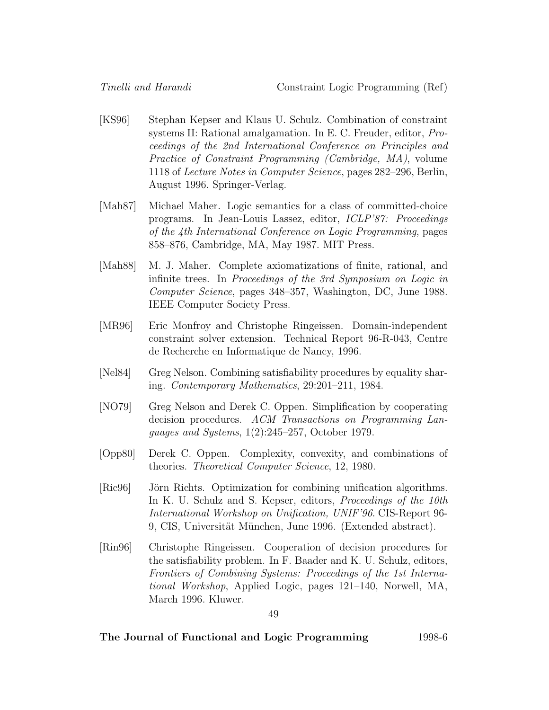- [KS96] Stephan Kepser and Klaus U. Schulz. Combination of constraint systems II: Rational amalgamation. In E. C. Freuder, editor, Proceedings of the 2nd International Conference on Principles and Practice of Constraint Programming (Cambridge, MA), volume 1118 of Lecture Notes in Computer Science, pages 282–296, Berlin, August 1996. Springer-Verlag.
- [Mah87] Michael Maher. Logic semantics for a class of committed-choice programs. In Jean-Louis Lassez, editor, ICLP'87: Proceedings of the 4th International Conference on Logic Programming, pages 858–876, Cambridge, MA, May 1987. MIT Press.
- [Mah88] M. J. Maher. Complete axiomatizations of finite, rational, and infinite trees. In Proceedings of the 3rd Symposium on Logic in Computer Science, pages 348–357, Washington, DC, June 1988. IEEE Computer Society Press.
- [MR96] Eric Monfroy and Christophe Ringeissen. Domain-independent constraint solver extension. Technical Report 96-R-043, Centre de Recherche en Informatique de Nancy, 1996.
- [Nel84] Greg Nelson. Combining satisfiability procedures by equality sharing. Contemporary Mathematics, 29:201–211, 1984.
- [NO79] Greg Nelson and Derek C. Oppen. Simplification by cooperating decision procedures. ACM Transactions on Programming Languages and Systems, 1(2):245–257, October 1979.
- [Opp80] Derek C. Oppen. Complexity, convexity, and combinations of theories. Theoretical Computer Science, 12, 1980.
- [Ric96] Jörn Richts. Optimization for combining unification algorithms. In K. U. Schulz and S. Kepser, editors, *Proceedings of the 10th* International Workshop on Unification, UNIF'96. CIS-Report 96- 9, CIS, Universität München, June 1996. (Extended abstract).
- [Rin96] Christophe Ringeissen. Cooperation of decision procedures for the satisfiability problem. In F. Baader and K. U. Schulz, editors, Frontiers of Combining Systems: Proceedings of the 1st International Workshop, Applied Logic, pages 121–140, Norwell, MA, March 1996. Kluwer.